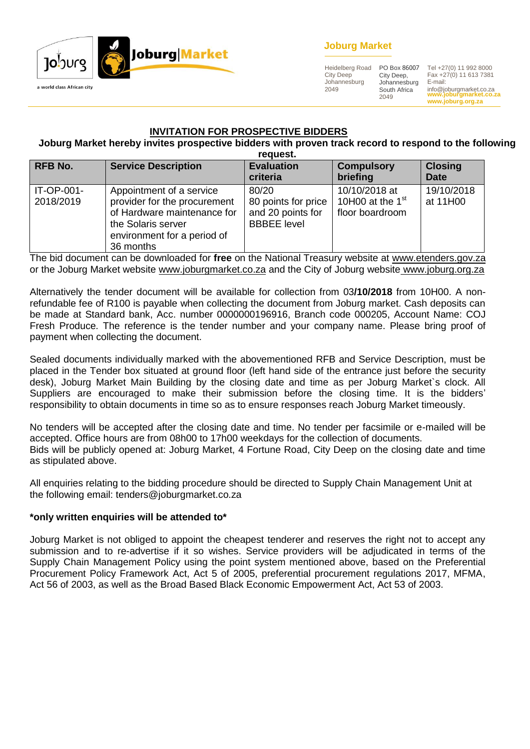

# **Joburg Market**

Heidelberg Road City Deep Johannesburg 2049

City Deep, Johannesburg South Africa 2049

**www.joburgmarket.co.za** info@joburgmarket.co.za **www.joburg.org.za** PO Box 86007 Tel +27(0) 11 992 8000 Fax +27(0) 11 613 7381 E-mail:

#### **INVITATION FOR PROSPECTIVE BIDDERS**

# **Joburg Market hereby invites prospective bidders with proven track record to respond to the following**

|                         |                                                                                                                                                           | request.                                                                |                                                        |                               |
|-------------------------|-----------------------------------------------------------------------------------------------------------------------------------------------------------|-------------------------------------------------------------------------|--------------------------------------------------------|-------------------------------|
| <b>RFB No.</b>          | <b>Service Description</b>                                                                                                                                | <b>Evaluation</b><br>criteria                                           | <b>Compulsory</b><br>briefing                          | <b>Closing</b><br><b>Date</b> |
| IT-OP-001-<br>2018/2019 | Appointment of a service<br>provider for the procurement<br>of Hardware maintenance for<br>the Solaris server<br>environment for a period of<br>36 months | 80/20<br>80 points for price<br>and 20 points for<br><b>BBBEE</b> level | 10/10/2018 at<br>10H00 at the $1st$<br>floor boardroom | 19/10/2018<br>at 11H00        |

The bid document can be downloaded for **free** on the National Treasury website at [www.etenders.gov.za](http://www.etenders.gov.za/) or the Joburg Market website [www.joburgmarket.co.za](http://www.joburgmarket.co.za/) and the City of Joburg website [www.joburg.org.za](http://www.joburg.org.za/)

Alternatively the tender document will be available for collection from 03**/10/2018** from 10H00. A nonrefundable fee of R100 is payable when collecting the document from Joburg market. Cash deposits can be made at Standard bank, Acc. number 0000000196916, Branch code 000205, Account Name: COJ Fresh Produce. The reference is the tender number and your company name. Please bring proof of payment when collecting the document.

Sealed documents individually marked with the abovementioned RFB and Service Description, must be placed in the Tender box situated at ground floor (left hand side of the entrance just before the security desk), Joburg Market Main Building by the closing date and time as per Joburg Market`s clock. All Suppliers are encouraged to make their submission before the closing time. It is the bidders' responsibility to obtain documents in time so as to ensure responses reach Joburg Market timeously.

No tenders will be accepted after the closing date and time. No tender per facsimile or e-mailed will be accepted. Office hours are from 08h00 to 17h00 weekdays for the collection of documents. Bids will be publicly opened at: Joburg Market, 4 Fortune Road, City Deep on the closing date and time as stipulated above.

All enquiries relating to the bidding procedure should be directed to Supply Chain Management Unit at the following email: tenders@joburgmarket.co.za

#### **\*only written enquiries will be attended to\***

Joburg Market is not obliged to appoint the cheapest tenderer and reserves the right not to accept any submission and to re-advertise if it so wishes. Service providers will be adjudicated in terms of the Supply Chain Management Policy using the point system mentioned above, based on the Preferential Procurement Policy Framework Act, Act 5 of 2005, preferential procurement regulations 2017, MFMA, Act 56 of 2003, as well as the Broad Based Black Economic Empowerment Act, Act 53 of 2003.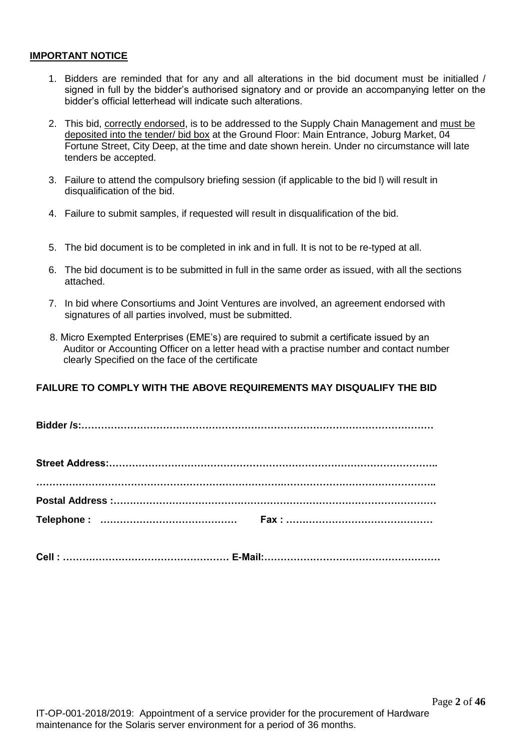#### **IMPORTANT NOTICE**

- 1. Bidders are reminded that for any and all alterations in the bid document must be initialled / signed in full by the bidder's authorised signatory and or provide an accompanying letter on the bidder's official letterhead will indicate such alterations.
- 2. This bid, correctly endorsed, is to be addressed to the Supply Chain Management and must be deposited into the tender/ bid box at the Ground Floor: Main Entrance, Joburg Market, 04 Fortune Street, City Deep, at the time and date shown herein. Under no circumstance will late tenders be accepted.
- 3. Failure to attend the compulsory briefing session (if applicable to the bid l) will result in disqualification of the bid.
- 4. Failure to submit samples, if requested will result in disqualification of the bid.
- 5. The bid document is to be completed in ink and in full. It is not to be re-typed at all.
- 6. The bid document is to be submitted in full in the same order as issued, with all the sections attached.
- 7. In bid where Consortiums and Joint Ventures are involved, an agreement endorsed with signatures of all parties involved, must be submitted.
- 8. Micro Exempted Enterprises (EME's) are required to submit a certificate issued by an Auditor or Accounting Officer on a letter head with a practise number and contact number clearly Specified on the face of the certificate

# **FAILURE TO COMPLY WITH THE ABOVE REQUIREMENTS MAY DISQUALIFY THE BID**

**Bidder /s:………………………………………………………………………………………………**

|  | Cell:………………………………………………… E-Mail:………………………………………………… |
|--|-----------------------------------------------------|
|  |                                                     |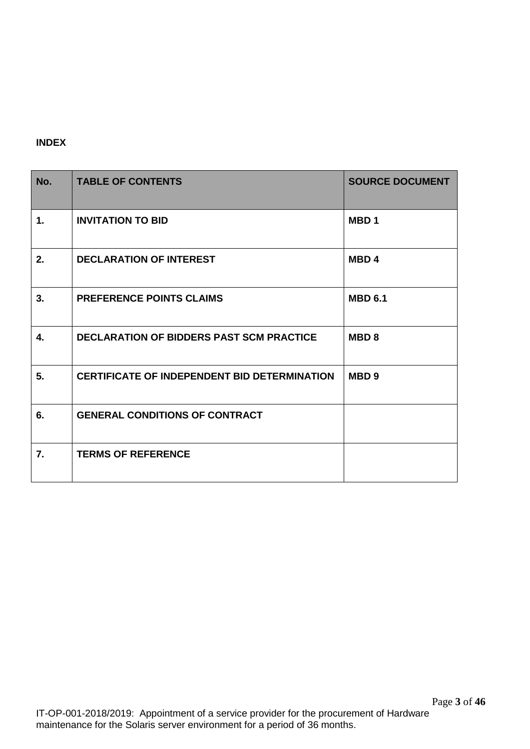# **INDEX**

| No.              | <b>TABLE OF CONTENTS</b>                            | <b>SOURCE DOCUMENT</b> |
|------------------|-----------------------------------------------------|------------------------|
| $\mathbf{1}$ .   | <b>INVITATION TO BID</b>                            | MBD <sub>1</sub>       |
| 2.               | <b>DECLARATION OF INTEREST</b>                      | MBD <sub>4</sub>       |
| 3.               | <b>PREFERENCE POINTS CLAIMS</b>                     | <b>MBD 6.1</b>         |
| 4.               | <b>DECLARATION OF BIDDERS PAST SCM PRACTICE</b>     | <b>MBD8</b>            |
| 5.               | <b>CERTIFICATE OF INDEPENDENT BID DETERMINATION</b> | MBD <sub>9</sub>       |
| 6.               | <b>GENERAL CONDITIONS OF CONTRACT</b>               |                        |
| $\overline{7}$ . | <b>TERMS OF REFERENCE</b>                           |                        |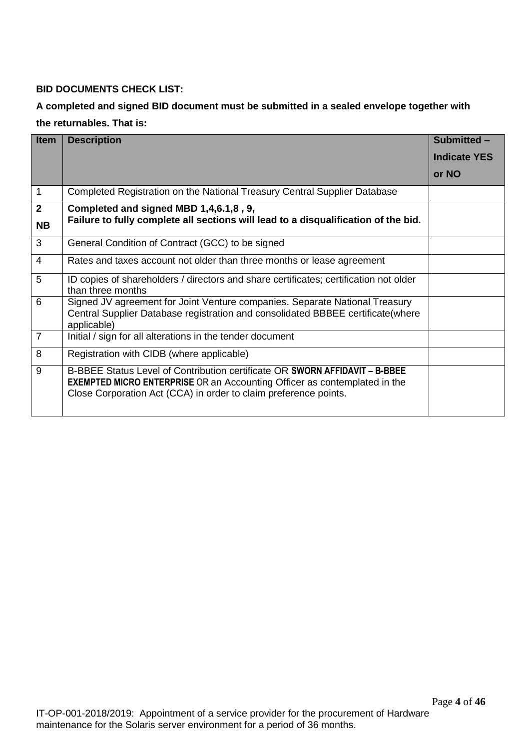# **BID DOCUMENTS CHECK LIST:**

# **A completed and signed BID document must be submitted in a sealed envelope together with the returnables. That is:**

| <b>Item</b>               | <b>Description</b>                                                                                                                                                                                                                  | Submitted -         |
|---------------------------|-------------------------------------------------------------------------------------------------------------------------------------------------------------------------------------------------------------------------------------|---------------------|
|                           |                                                                                                                                                                                                                                     | <b>Indicate YES</b> |
|                           |                                                                                                                                                                                                                                     | or NO               |
| $\mathbf{1}$              | Completed Registration on the National Treasury Central Supplier Database                                                                                                                                                           |                     |
| $\mathbf{2}$<br><b>NB</b> | Completed and signed MBD 1,4,6.1,8, 9,<br>Failure to fully complete all sections will lead to a disqualification of the bid.                                                                                                        |                     |
| 3                         | General Condition of Contract (GCC) to be signed                                                                                                                                                                                    |                     |
| $\overline{4}$            | Rates and taxes account not older than three months or lease agreement                                                                                                                                                              |                     |
| 5                         | ID copies of shareholders / directors and share certificates; certification not older<br>than three months                                                                                                                          |                     |
| 6                         | Signed JV agreement for Joint Venture companies. Separate National Treasury<br>Central Supplier Database registration and consolidated BBBEE certificate (where<br>applicable)                                                      |                     |
| $\overline{7}$            | Initial / sign for all alterations in the tender document                                                                                                                                                                           |                     |
| 8                         | Registration with CIDB (where applicable)                                                                                                                                                                                           |                     |
| 9                         | B-BBEE Status Level of Contribution certificate OR SWORN AFFIDAVIT - B-BBEE<br><b>EXEMPTED MICRO ENTERPRISE</b> OR an Accounting Officer as contemplated in the<br>Close Corporation Act (CCA) in order to claim preference points. |                     |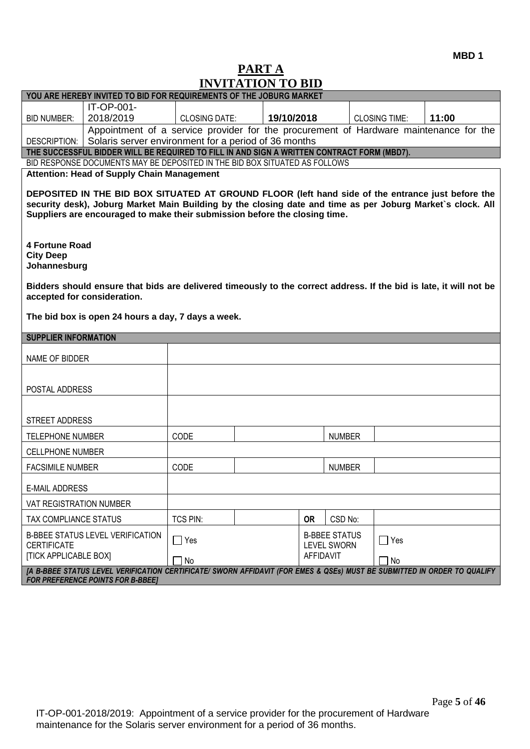# **PART A INVITATION TO BID**

| YOU ARE HEREBY INVITED TO BID FOR REQUIREMENTS OF THE JOBURG MARKET                                                                                                                                                           |                                                                                                                                                                                                                                                                                               |                      |  |            |                                            |  |                      |       |
|-------------------------------------------------------------------------------------------------------------------------------------------------------------------------------------------------------------------------------|-----------------------------------------------------------------------------------------------------------------------------------------------------------------------------------------------------------------------------------------------------------------------------------------------|----------------------|--|------------|--------------------------------------------|--|----------------------|-------|
|                                                                                                                                                                                                                               | <b>IT-OP-001-</b>                                                                                                                                                                                                                                                                             |                      |  |            |                                            |  |                      |       |
| <b>BID NUMBER:</b>                                                                                                                                                                                                            | 2018/2019                                                                                                                                                                                                                                                                                     | <b>CLOSING DATE:</b> |  | 19/10/2018 |                                            |  | <b>CLOSING TIME:</b> | 11:00 |
| DESCRIPTION:                                                                                                                                                                                                                  | Appointment of a service provider for the procurement of Hardware maintenance for the<br>Solaris server environment for a period of 36 months                                                                                                                                                 |                      |  |            |                                            |  |                      |       |
|                                                                                                                                                                                                                               | THE SUCCESSFUL BIDDER WILL BE REQUIRED TO FILL IN AND SIGN A WRITTEN CONTRACT FORM (MBD7).                                                                                                                                                                                                    |                      |  |            |                                            |  |                      |       |
|                                                                                                                                                                                                                               | BID RESPONSE DOCUMENTS MAY BE DEPOSITED IN THE BID BOX SITUATED AS FOLLOWS                                                                                                                                                                                                                    |                      |  |            |                                            |  |                      |       |
|                                                                                                                                                                                                                               | <b>Attention: Head of Supply Chain Management</b>                                                                                                                                                                                                                                             |                      |  |            |                                            |  |                      |       |
|                                                                                                                                                                                                                               | DEPOSITED IN THE BID BOX SITUATED AT GROUND FLOOR (left hand side of the entrance just before the<br>security desk), Joburg Market Main Building by the closing date and time as per Joburg Market's clock. All<br>Suppliers are encouraged to make their submission before the closing time. |                      |  |            |                                            |  |                      |       |
| <b>4 Fortune Road</b><br><b>City Deep</b><br>Johannesburg                                                                                                                                                                     |                                                                                                                                                                                                                                                                                               |                      |  |            |                                            |  |                      |       |
| accepted for consideration.                                                                                                                                                                                                   | Bidders should ensure that bids are delivered timeously to the correct address. If the bid is late, it will not be                                                                                                                                                                            |                      |  |            |                                            |  |                      |       |
|                                                                                                                                                                                                                               | The bid box is open 24 hours a day, 7 days a week.                                                                                                                                                                                                                                            |                      |  |            |                                            |  |                      |       |
| <b>SUPPLIER INFORMATION</b>                                                                                                                                                                                                   |                                                                                                                                                                                                                                                                                               |                      |  |            |                                            |  |                      |       |
| NAME OF BIDDER                                                                                                                                                                                                                |                                                                                                                                                                                                                                                                                               |                      |  |            |                                            |  |                      |       |
|                                                                                                                                                                                                                               |                                                                                                                                                                                                                                                                                               |                      |  |            |                                            |  |                      |       |
| POSTAL ADDRESS                                                                                                                                                                                                                |                                                                                                                                                                                                                                                                                               |                      |  |            |                                            |  |                      |       |
|                                                                                                                                                                                                                               |                                                                                                                                                                                                                                                                                               |                      |  |            |                                            |  |                      |       |
| STREET ADDRESS                                                                                                                                                                                                                |                                                                                                                                                                                                                                                                                               |                      |  |            |                                            |  |                      |       |
| <b>TELEPHONE NUMBER</b>                                                                                                                                                                                                       |                                                                                                                                                                                                                                                                                               | CODE                 |  |            | <b>NUMBER</b>                              |  |                      |       |
| <b>CELLPHONE NUMBER</b>                                                                                                                                                                                                       |                                                                                                                                                                                                                                                                                               |                      |  |            |                                            |  |                      |       |
| <b>FACSIMILE NUMBER</b>                                                                                                                                                                                                       |                                                                                                                                                                                                                                                                                               | CODE                 |  |            | <b>NUMBER</b>                              |  |                      |       |
| <b>E-MAIL ADDRESS</b>                                                                                                                                                                                                         |                                                                                                                                                                                                                                                                                               |                      |  |            |                                            |  |                      |       |
| VAT REGISTRATION NUMBER                                                                                                                                                                                                       |                                                                                                                                                                                                                                                                                               |                      |  |            |                                            |  |                      |       |
| TAX COMPLIANCE STATUS                                                                                                                                                                                                         |                                                                                                                                                                                                                                                                                               | <b>TCS PIN:</b>      |  | <b>OR</b>  | CSD No:                                    |  |                      |       |
| <b>CERTIFICATE</b>                                                                                                                                                                                                            | <b>B-BBEE STATUS LEVEL VERIFICATION</b>                                                                                                                                                                                                                                                       | $\Box$ Yes           |  |            | <b>B-BBEE STATUS</b><br><b>LEVEL SWORN</b> |  | $\Box$ Yes           |       |
| <b>[TICK APPLICABLE BOX]</b><br>AFFIDAVIT<br>No<br>No<br>[A B-BBEE STATUS LEVEL VERIFICATION CERTIFICATE/ SWORN AFFIDAVIT (FOR EMES & QSEs) MUST BE SUBMITTED IN ORDER TO QUALIFY<br><b>FOR PREFERENCE POINTS FOR B-BBEE]</b> |                                                                                                                                                                                                                                                                                               |                      |  |            |                                            |  |                      |       |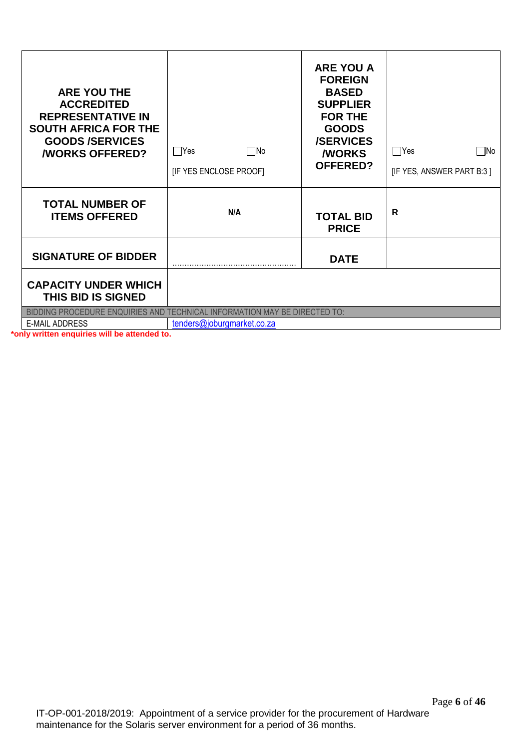| <b>ARE YOU THE</b><br><b>ACCREDITED</b><br><b>REPRESENTATIVE IN</b><br><b>SOUTH AFRICA FOR THE</b><br><b>GOODS/SERVICES</b><br><b><i>NORKS OFFERED?</i></b> | $\Box$ Yes<br>l INo<br>[IF YES ENCLOSE PROOF]                                                           | <b>ARE YOU A</b><br><b>FOREIGN</b><br><b>BASED</b><br><b>SUPPLIER</b><br><b>FOR THE</b><br><b>GOODS</b><br><b>/SERVICES</b><br><b><i>NORKS</i></b><br><b>OFFERED?</b> | Yes<br>   No<br>[IF YES, ANSWER PART B:3] |
|-------------------------------------------------------------------------------------------------------------------------------------------------------------|---------------------------------------------------------------------------------------------------------|-----------------------------------------------------------------------------------------------------------------------------------------------------------------------|-------------------------------------------|
| <b>TOTAL NUMBER OF</b><br><b>ITEMS OFFERED</b>                                                                                                              | N/A                                                                                                     | <b>TOTAL BID</b><br><b>PRICE</b>                                                                                                                                      | R                                         |
| <b>SIGNATURE OF BIDDER</b>                                                                                                                                  |                                                                                                         | <b>DATE</b>                                                                                                                                                           |                                           |
| <b>CAPACITY UNDER WHICH</b><br><b>THIS BID IS SIGNED</b>                                                                                                    |                                                                                                         |                                                                                                                                                                       |                                           |
| <b>E-MAIL ADDRESS</b>                                                                                                                                       | BIDDING PROCEDURE ENQUIRIES AND TECHNICAL INFORMATION MAY BE DIRECTED TO:<br>tenders@joburgmarket.co.za |                                                                                                                                                                       |                                           |

**\*only written enquiries will be attended to.**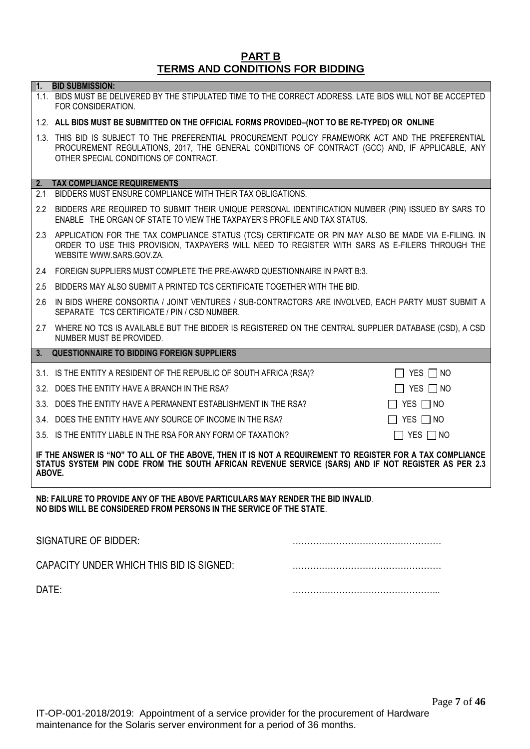#### **PART B TERMS AND CONDITIONS FOR BIDDING**

# Page **7** of **46** IT-OP-001-2018/2019: Appointment of a service provider for the procurement of Hardware maintenance for the Solaris server environment for a period of 36 months.

**1. BID SUBMISSION:** 1.1. BIDS MUST BE DELIVERED BY THE STIPULATED TIME TO THE CORRECT ADDRESS. LATE BIDS WILL NOT BE ACCEPTED FOR CONSIDERATION.

# 1.2. **ALL BIDS MUST BE SUBMITTED ON THE OFFICIAL FORMS PROVIDED–(NOT TO BE RE-TYPED) OR ONLINE**

1.3. THIS BID IS SUBJECT TO THE PREFERENTIAL PROCUREMENT POLICY FRAMEWORK ACT AND THE PREFERENTIAL PROCUREMENT REGULATIONS, 2017, THE GENERAL CONDITIONS OF CONTRACT (GCC) AND, IF APPLICABLE, ANY OTHER SPECIAL CONDITIONS OF CONTRACT.

# **2. TAX COMPLIANCE REQUIREMENTS**

- 2.1 BIDDERS MUST ENSURE COMPLIANCE WITH THEIR TAX OBLIGATIONS.
- 2.2 BIDDERS ARE REQUIRED TO SUBMIT THEIR UNIQUE PERSONAL IDENTIFICATION NUMBER (PIN) ISSUED BY SARS TO ENABLE THE ORGAN OF STATE TO VIEW THE TAXPAYER'S PROFILE AND TAX STATUS.
- 2.3 APPLICATION FOR THE TAX COMPLIANCE STATUS (TCS) CERTIFICATE OR PIN MAY ALSO BE MADE VIA E-FILING. IN ORDER TO USE THIS PROVISION, TAXPAYERS WILL NEED TO REGISTER WITH SARS AS E-FILERS THROUGH THE WEBSITE [WWW.SARS.GOV.ZA.](http://www.sars.gov.za/)
- 2.4 FOREIGN SUPPLIERS MUST COMPLETE THE PRE-AWARD QUESTIONNAIRE IN PART B:3.
- 2.5 BIDDERS MAY ALSO SUBMIT A PRINTED TCS CERTIFICATE TOGETHER WITH THE BID.
- 2.6 IN BIDS WHERE CONSORTIA / JOINT VENTURES / SUB-CONTRACTORS ARE INVOLVED, EACH PARTY MUST SUBMIT A SEPARATE TCS CERTIFICATE / PIN / CSD NUMBER.
- 2.7 WHERE NO TCS IS AVAILABLE BUT THE BIDDER IS REGISTERED ON THE CENTRAL SUPPLIER DATABASE (CSD), A CSD NUMBER MUST BE PROVIDED.
- **3. QUESTIONNAIRE TO BIDDING FOREIGN SUPPLIERS**
- 3.1. IS THE ENTITY A RESIDENT OF THE REPUBLIC OF SOUTH AFRICA (RSA)?
- 3.2. DOES THE ENTITY HAVE A BRANCH IN THE RSA?
- 3.3. DOES THE ENTITY HAVE A PERMANENT ESTABLISHMENT IN THE RSA?
- 3.4. DOES THE ENTITY HAVE ANY SOURCE OF INCOME IN THE RSA?
- 3.5. IS THE ENTITY LIABLE IN THE RSA FOR ANY FORM OF TAXATION?  $\Box$  YES  $\Box$  NO

**IF THE ANSWER IS "NO" TO ALL OF THE ABOVE, THEN IT IS NOT A REQUIREMENT TO REGISTER FOR A TAX COMPLIANCE STATUS SYSTEM PIN CODE FROM THE SOUTH AFRICAN REVENUE SERVICE (SARS) AND IF NOT REGISTER AS PER 2.3 ABOVE.**

**NB: FAILURE TO PROVIDE ANY OF THE ABOVE PARTICULARS MAY RENDER THE BID INVALID**. **NO BIDS WILL BE CONSIDERED FROM PERSONS IN THE SERVICE OF THE STATE**.

| SIGNATURE OF BIDDER:                     |  |
|------------------------------------------|--|
| CAPACITY UNDER WHICH THIS BID IS SIGNED: |  |
| DATE:                                    |  |

| IIYESIINO            |
|----------------------|
| $\Box$ yes $\Box$ no |
| $\Box$ YES $\Box$ NO |
| $\Box$ Yes $\Box$ No |
|                      |

| $D_{0.02}$ 7 of 16 |  |  |
|--------------------|--|--|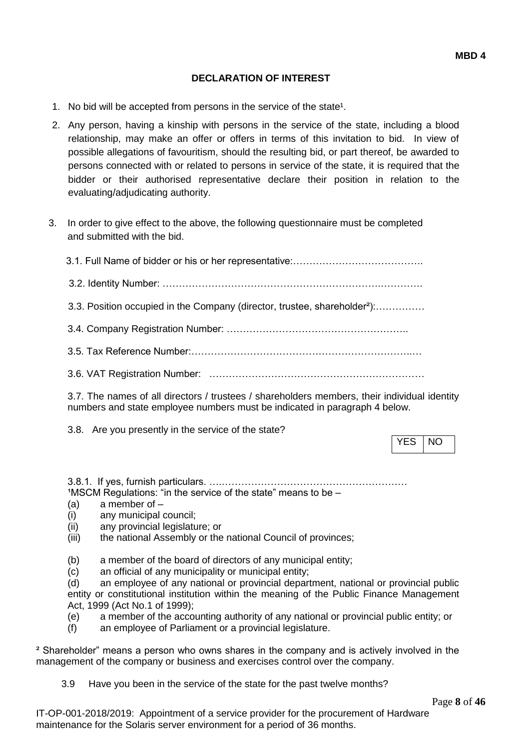## **DECLARATION OF INTEREST**

- 1. No bid will be accepted from persons in the service of the state<sup>1</sup>.
- 2. Any person, having a kinship with persons in the service of the state, including a blood relationship, may make an offer or offers in terms of this invitation to bid. In view of possible allegations of favouritism, should the resulting bid, or part thereof, be awarded to persons connected with or related to persons in service of the state, it is required that the bidder or their authorised representative declare their position in relation to the evaluating/adjudicating authority.
- 3. In order to give effect to the above, the following questionnaire must be completed and submitted with the bid.
	- 3.1. Full Name of bidder or his or her representative:…………………………………. 3.2. Identity Number: ………………………………………………………….…………. 3.3. Position occupied in the Company (director, trustee, shareholder²):…………… 3.4. Company Registration Number: ……………………………………………….. 3.5. Tax Reference Number:…………………………………………………………..…
	- 3.6. VAT Registration Number: …………………………………………………………

3.7. The names of all directors / trustees / shareholders members, their individual identity numbers and state employee numbers must be indicated in paragraph 4 below.

3.8. Are you presently in the service of the state?

YES INO

3.8.1. If yes, furnish particulars. ….…………………………………………………  $1$ MSCM Regulations: "in the service of the state" means to be  $-$ 

- (a) a member of –
- (i) any municipal council;
- (ii) any provincial legislature; or
- (iii) the national Assembly or the national Council of provinces;
- (b) a member of the board of directors of any municipal entity;
- (c) an official of any municipality or municipal entity;

(d) an employee of any national or provincial department, national or provincial public entity or constitutional institution within the meaning of the Public Finance Management Act, 1999 (Act No.1 of 1999);

- (e) a member of the accounting authority of any national or provincial public entity; or
- (f) an employee of Parliament or a provincial legislature.

² Shareholder" means a person who owns shares in the company and is actively involved in the management of the company or business and exercises control over the company.

3.9 Have you been in the service of the state for the past twelve months?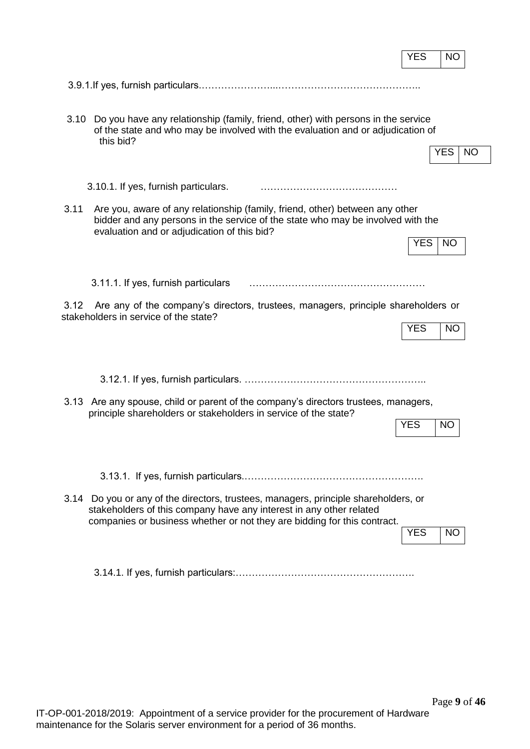|      |                                                                                                                                                                                                                                        | <b>YES</b><br><b>NO</b> |
|------|----------------------------------------------------------------------------------------------------------------------------------------------------------------------------------------------------------------------------------------|-------------------------|
|      |                                                                                                                                                                                                                                        |                         |
| 3.10 | Do you have any relationship (family, friend, other) with persons in the service<br>of the state and who may be involved with the evaluation and or adjudication of<br>this bid?                                                       | <b>YES</b><br><b>NO</b> |
|      | 3.10.1. If yes, furnish particulars.                                                                                                                                                                                                   |                         |
| 3.11 | Are you, aware of any relationship (family, friend, other) between any other<br>bidder and any persons in the service of the state who may be involved with the<br>evaluation and or adjudication of this bid?                         |                         |
|      |                                                                                                                                                                                                                                        | <b>YES</b><br><b>NO</b> |
|      | 3.11.1. If yes, furnish particulars                                                                                                                                                                                                    |                         |
| 3.12 | Are any of the company's directors, trustees, managers, principle shareholders or<br>stakeholders in service of the state?                                                                                                             | <b>YES</b><br><b>NO</b> |
|      |                                                                                                                                                                                                                                        |                         |
|      | 3.13 Are any spouse, child or parent of the company's directors trustees, managers,<br>principle shareholders or stakeholders in service of the state?                                                                                 | <b>YES</b><br><b>NO</b> |
|      | 3.14 Do you or any of the directors, trustees, managers, principle shareholders, or<br>stakeholders of this company have any interest in any other related<br>companies or business whether or not they are bidding for this contract. | <b>YES</b><br><b>NO</b> |
|      |                                                                                                                                                                                                                                        |                         |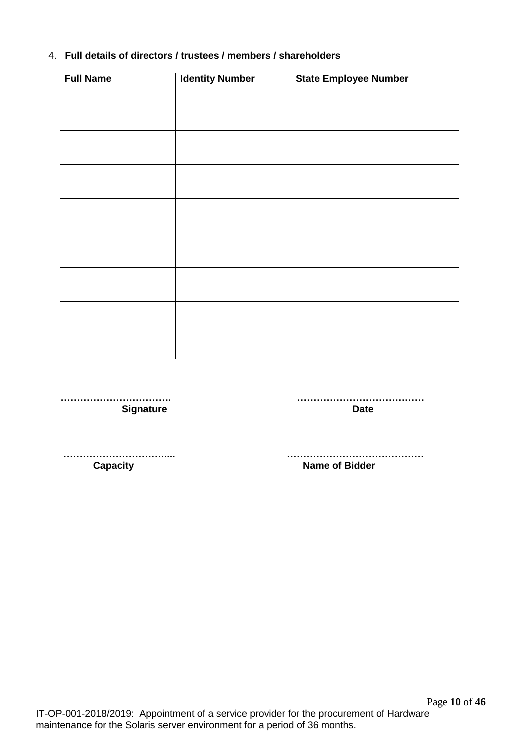# 4. **Full details of directors / trustees / members / shareholders**

| <b>Full Name</b> | <b>Identity Number</b> | <b>State Employee Number</b> |
|------------------|------------------------|------------------------------|
|                  |                        |                              |
|                  |                        |                              |
|                  |                        |                              |
|                  |                        |                              |
|                  |                        |                              |
|                  |                        |                              |
|                  |                        |                              |
|                  |                        |                              |
|                  |                        |                              |
|                  |                        |                              |
|                  |                        |                              |
|                  |                        |                              |
|                  |                        |                              |

 **……………………………. ………………………………… Signature Date** 

 **…………………………..... …………………………………… Name of Bidder**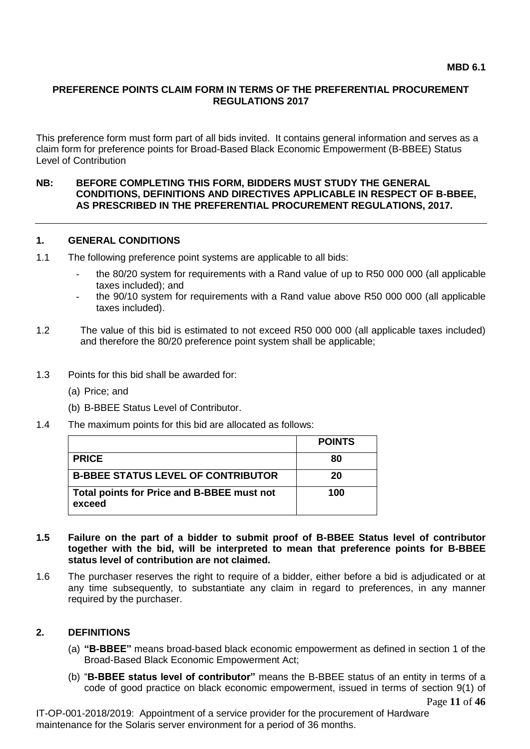## **PREFERENCE POINTS CLAIM FORM IN TERMS OF THE PREFERENTIAL PROCUREMENT REGULATIONS 2017**

This preference form must form part of all bids invited. It contains general information and serves as a claim form for preference points for Broad-Based Black Economic Empowerment (B-BBEE) Status Level of Contribution

#### **NB: BEFORE COMPLETING THIS FORM, BIDDERS MUST STUDY THE GENERAL CONDITIONS, DEFINITIONS AND DIRECTIVES APPLICABLE IN RESPECT OF B-BBEE, AS PRESCRIBED IN THE PREFERENTIAL PROCUREMENT REGULATIONS, 2017.**

#### **1. GENERAL CONDITIONS**

- 1.1 The following preference point systems are applicable to all bids:
	- the 80/20 system for requirements with a Rand value of up to R50 000 000 (all applicable taxes included); and
	- the 90/10 system for requirements with a Rand value above R50 000 000 (all applicable taxes included).
- 1.2 The value of this bid is estimated to not exceed R50 000 000 (all applicable taxes included) and therefore the 80/20 preference point system shall be applicable;
- 1.3 Points for this bid shall be awarded for:
	- (a) Price; and
	- (b) B-BBEE Status Level of Contributor.
- 1.4 The maximum points for this bid are allocated as follows:

|                                                      | <b>POINTS</b> |
|------------------------------------------------------|---------------|
| <b>PRICE</b>                                         | 80            |
| <b>B-BBEE STATUS LEVEL OF CONTRIBUTOR</b>            | 20            |
| Total points for Price and B-BBEE must not<br>exceed | 100           |

#### **1.5 Failure on the part of a bidder to submit proof of B-BBEE Status level of contributor together with the bid, will be interpreted to mean that preference points for B-BBEE status level of contribution are not claimed.**

1.6 The purchaser reserves the right to require of a bidder, either before a bid is adjudicated or at any time subsequently, to substantiate any claim in regard to preferences, in any manner required by the purchaser.

#### **2. DEFINITIONS**

- (a) **"B-BBEE"** means broad-based black economic empowerment as defined in section 1 of the Broad-Based Black Economic Empowerment Act;
- Page **11** of **46** (b) "**B-BBEE status level of contributor"** means the B-BBEE status of an entity in terms of a code of good practice on black economic empowerment, issued in terms of section 9(1) of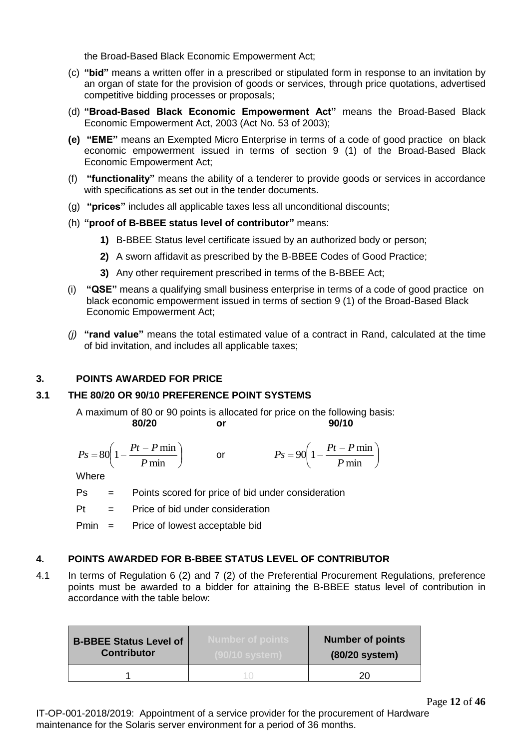the Broad-Based Black Economic Empowerment Act;

- (c) **"bid"** means a written offer in a prescribed or stipulated form in response to an invitation by an organ of state for the provision of goods or services, through price quotations, advertised competitive bidding processes or proposals;
- (d) **"Broad-Based Black Economic Empowerment Act"** means the Broad-Based Black Economic Empowerment Act, 2003 (Act No. 53 of 2003);
- **(e) "EME"** means an Exempted Micro Enterprise in terms of a code of good practice on black economic empowerment issued in terms of section 9 (1) of the Broad-Based Black Economic Empowerment Act;
- (f) **"functionality"** means the ability of a tenderer to provide goods or services in accordance with specifications as set out in the tender documents.
- (g) **"prices"** includes all applicable taxes less all unconditional discounts;
- (h) **"proof of B-BBEE status level of contributor"** means:
	- **1)** B-BBEE Status level certificate issued by an authorized body or person;
	- **2)** A sworn affidavit as prescribed by the B-BBEE Codes of Good Practice;
	- **3)** Any other requirement prescribed in terms of the B-BBEE Act;
- (i) **"QSE"** means a qualifying small business enterprise in terms of a code of good practice on black economic empowerment issued in terms of section 9 (1) of the Broad-Based Black Economic Empowerment Act;
- *(j)* **"rand value"** means the total estimated value of a contract in Rand, calculated at the time of bid invitation, and includes all applicable taxes;

#### **3. POINTS AWARDED FOR PRICE**

#### **3.1 THE 80/20 OR 90/10 PREFERENCE POINT SYSTEMS**

A maximum of 80 or 90 points is allocated for price on the following basis:<br>**80/20** or 90/10 **80/20 or 90/10**

$$
Ps = 80\left(1 - \frac{Pt - P \min P}{ \min}\right) \qquad \text{or} \qquad \qquad Ps = 90\left(1 - \frac{Pt - P \min P}{ \min}\right)
$$

**Where** 

- Ps = Points scored for price of bid under consideration
- $Pt =$  Price of bid under consideration

Pmin = Price of lowest acceptable bid

#### **4. POINTS AWARDED FOR B-BBEE STATUS LEVEL OF CONTRIBUTOR**

4.1 In terms of Regulation 6 (2) and 7 (2) of the Preferential Procurement Regulations, preference points must be awarded to a bidder for attaining the B-BBEE status level of contribution in accordance with the table below:

| <b>B-BBEE Status Level of</b> | Number of points.    | <b>Number of points</b> |
|-------------------------------|----------------------|-------------------------|
| <b>Contributor</b>            | <u>/90/10 system</u> | (80/20 system)          |
|                               |                      | חר                      |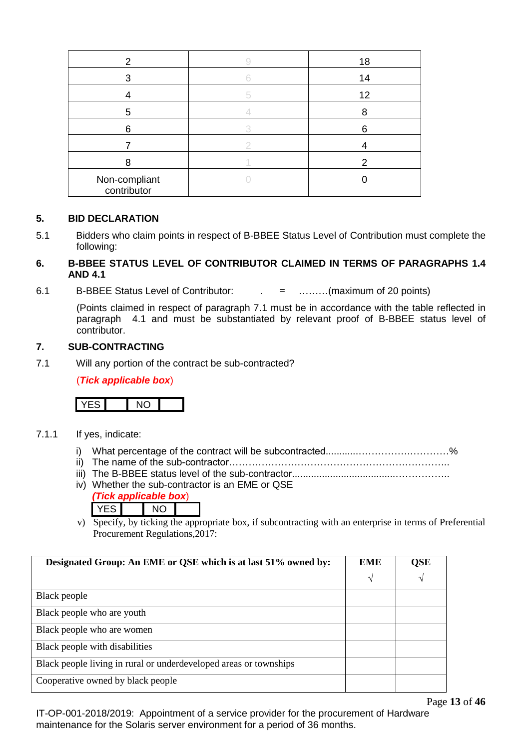| 2                            | 18 |
|------------------------------|----|
| 3                            | 14 |
|                              | 12 |
| 5                            |    |
| 6                            | 6  |
|                              |    |
|                              | 2  |
| Non-compliant<br>contributor |    |

## **5. BID DECLARATION**

5.1 Bidders who claim points in respect of B-BBEE Status Level of Contribution must complete the following:

### **6. B-BBEE STATUS LEVEL OF CONTRIBUTOR CLAIMED IN TERMS OF PARAGRAPHS 1.4 AND 4.1**

6.1 B-BBEE Status Level of Contributor: . = ………(maximum of 20 points)

(Points claimed in respect of paragraph 7.1 must be in accordance with the table reflected in paragraph 4.1 and must be substantiated by relevant proof of B-BBEE status level of contributor.

#### **7. SUB-CONTRACTING**

7.1 Will any portion of the contract be sub-contracted?

(*Tick applicable box*)



- 7.1.1 If yes, indicate:
	- i) What percentage of the contract will be subcontracted............…………….…………%
	- ii) The name of the sub-contractor…………………………………………………………..
		- iii) The B-BBEE status level of the sub-contractor......................................……………..
	- iv) Whether the sub-contractor is an EME or QSE *(Tick applicable box*)
		- YES NO
	- v) Specify, by ticking the appropriate box, if subcontracting with an enterprise in terms of Preferential Procurement Regulations,2017:

| Designated Group: An EME or QSE which is at last 51% owned by:    | <b>EME</b> | QSE |
|-------------------------------------------------------------------|------------|-----|
|                                                                   | N          | V   |
| Black people                                                      |            |     |
| Black people who are youth                                        |            |     |
| Black people who are women                                        |            |     |
| Black people with disabilities                                    |            |     |
| Black people living in rural or underdeveloped areas or townships |            |     |
| Cooperative owned by black people                                 |            |     |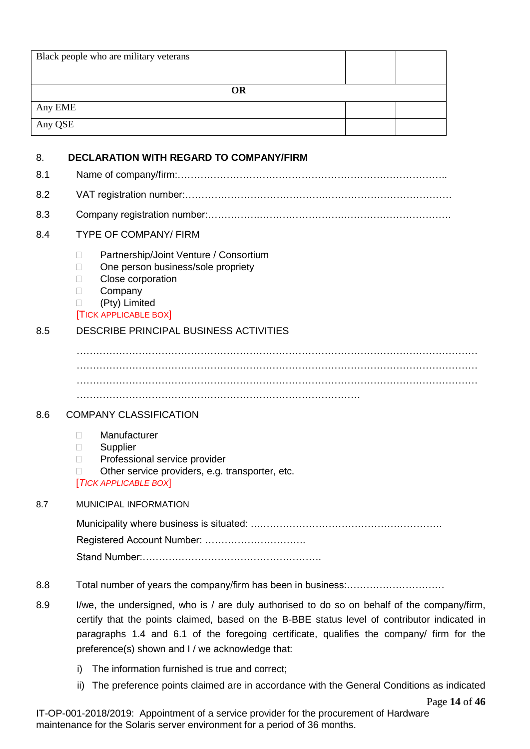|         | Black people who are military veterans                                                                                                                                                                                                                                                                                                      |
|---------|---------------------------------------------------------------------------------------------------------------------------------------------------------------------------------------------------------------------------------------------------------------------------------------------------------------------------------------------|
|         | <b>OR</b>                                                                                                                                                                                                                                                                                                                                   |
| Any EME |                                                                                                                                                                                                                                                                                                                                             |
| Any QSE |                                                                                                                                                                                                                                                                                                                                             |
| 8.      | <b>DECLARATION WITH REGARD TO COMPANY/FIRM</b>                                                                                                                                                                                                                                                                                              |
| 8.1     |                                                                                                                                                                                                                                                                                                                                             |
| 8.2     |                                                                                                                                                                                                                                                                                                                                             |
| 8.3     |                                                                                                                                                                                                                                                                                                                                             |
| 8.4     | <b>TYPE OF COMPANY/ FIRM</b>                                                                                                                                                                                                                                                                                                                |
|         | Partnership/Joint Venture / Consortium<br>П<br>One person business/sole propriety<br>$\mathbf{L}$<br>Close corporation<br>П<br>Company<br>п<br>(Pty) Limited<br><b>TICK APPLICABLE BOX</b>                                                                                                                                                  |
| 8.5     | DESCRIBE PRINCIPAL BUSINESS ACTIVITIES                                                                                                                                                                                                                                                                                                      |
| 8.6     | <b>COMPANY CLASSIFICATION</b>                                                                                                                                                                                                                                                                                                               |
|         | Manufacturer<br>П<br>Supplier<br>$\Box$<br>Professional service provider<br>п<br>Other service providers, e.g. transporter, etc.<br>п<br>[TICK APPLICABLE BOX]                                                                                                                                                                              |
| 8.7     | MUNICIPAL INFORMATION                                                                                                                                                                                                                                                                                                                       |
|         |                                                                                                                                                                                                                                                                                                                                             |
| 8.8     |                                                                                                                                                                                                                                                                                                                                             |
| 8.9     | I/we, the undersigned, who is / are duly authorised to do so on behalf of the company/firm,<br>certify that the points claimed, based on the B-BBE status level of contributor indicated in<br>paragraphs 1.4 and 6.1 of the foregoing certificate, qualifies the company/ firm for the<br>preference(s) shown and I / we acknowledge that: |
|         | The information furnished is true and correct;<br>i)                                                                                                                                                                                                                                                                                        |
|         | The preference points claimed are in accordance with the General Conditions as indicated<br>ii)<br>Page 14 of 46                                                                                                                                                                                                                            |
|         | IT-OP-001-2018/2019: Appointment of a service provider for the procurement of Hardware                                                                                                                                                                                                                                                      |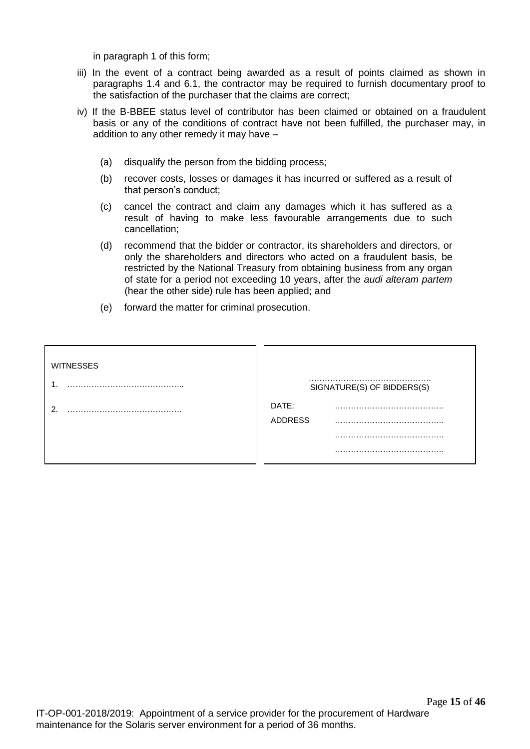in paragraph 1 of this form;

- iii) In the event of a contract being awarded as a result of points claimed as shown in paragraphs 1.4 and 6.1, the contractor may be required to furnish documentary proof to the satisfaction of the purchaser that the claims are correct;
- iv) If the B-BBEE status level of contributor has been claimed or obtained on a fraudulent basis or any of the conditions of contract have not been fulfilled, the purchaser may, in addition to any other remedy it may have –
	- (a) disqualify the person from the bidding process;
	- (b) recover costs, losses or damages it has incurred or suffered as a result of that person's conduct;
	- (c) cancel the contract and claim any damages which it has suffered as a result of having to make less favourable arrangements due to such cancellation;
	- (d) recommend that the bidder or contractor, its shareholders and directors, or only the shareholders and directors who acted on a fraudulent basis, be restricted by the National Treasury from obtaining business from any organ of state for a period not exceeding 10 years, after the *audi alteram partem* (hear the other side) rule has been applied; and
	- (e) forward the matter for criminal prosecution.

| <b>WITNESSES</b> |                            |
|------------------|----------------------------|
| 1                | SIGNATURE(S) OF BIDDERS(S) |
| ົ                | DATE:                      |
|                  | <b>ADDRESS</b>             |
|                  |                            |
|                  |                            |
|                  |                            |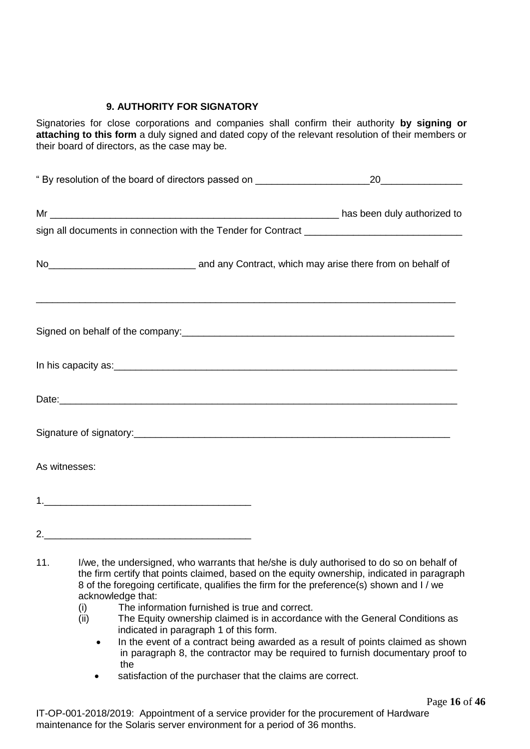# **9. AUTHORITY FOR SIGNATORY**

Signatories for close corporations and companies shall confirm their authority **by signing or attaching to this form** a duly signed and dated copy of the relevant resolution of their members or their board of directors, as the case may be.

| " By resolution of the board of directors passed on ____________________________                                                                                                                                                     | 20 |
|--------------------------------------------------------------------------------------------------------------------------------------------------------------------------------------------------------------------------------------|----|
|                                                                                                                                                                                                                                      |    |
|                                                                                                                                                                                                                                      |    |
| No <sub>___________________________________</sub> and any Contract, which may arise there from on behalf of                                                                                                                          |    |
| Signed on behalf of the company: example and all of the company of the company of the company of the company of                                                                                                                      |    |
| In his capacity as: <u>example and a set of the set of the set of the set of the set of the set of the set of the set of the set of the set of the set of the set of the set of the set of the set of the set of the set of the </u> |    |
|                                                                                                                                                                                                                                      |    |
|                                                                                                                                                                                                                                      |    |
| As witnesses:                                                                                                                                                                                                                        |    |
|                                                                                                                                                                                                                                      |    |
|                                                                                                                                                                                                                                      |    |

- (i) The information furnished is true and correct.
- (ii) The Equity ownership claimed is in accordance with the General Conditions as indicated in paragraph 1 of this form.
	- In the event of a contract being awarded as a result of points claimed as shown in paragraph 8, the contractor may be required to furnish documentary proof to the
	- satisfaction of the purchaser that the claims are correct.

<sup>11.</sup> I/we, the undersigned, who warrants that he/she is duly authorised to do so on behalf of the firm certify that points claimed, based on the equity ownership, indicated in paragraph 8 of the foregoing certificate, qualifies the firm for the preference(s) shown and I / we acknowledge that: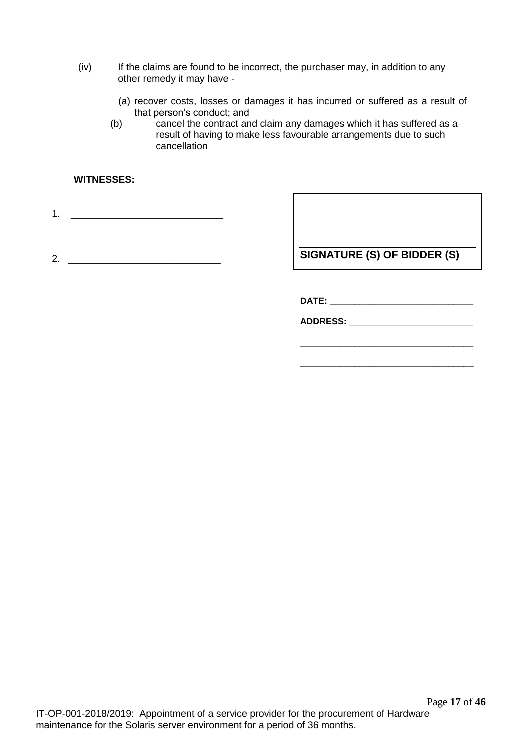- (iv) If the claims are found to be incorrect, the purchaser may, in addition to any other remedy it may have -
	- (a) recover costs, losses or damages it has incurred or suffered as a result of that person's conduct; and
	- (b) cancel the contract and claim any damages which it has suffered as a result of having to make less favourable arrangements due to such cancellation

### **WITNESSES:**

1. \_\_\_\_\_\_\_\_\_\_\_\_\_\_\_\_\_\_\_\_\_\_\_\_\_\_\_\_

2. **SIGNATURE (S) OF BIDDER (S)** 

\_\_\_\_\_\_\_\_\_\_\_\_\_\_\_\_\_\_\_\_\_\_\_\_\_\_\_\_\_\_\_\_\_\_\_

\_\_\_\_\_\_\_\_\_\_\_\_\_\_\_\_\_\_\_\_\_\_\_\_\_\_\_\_\_\_\_\_\_\_\_

**DATE: \_\_\_\_\_\_\_\_\_\_\_\_\_\_\_\_\_\_\_\_\_\_\_\_\_\_\_\_\_**

**ADDRESS: \_\_\_\_\_\_\_\_\_\_\_\_\_\_\_\_\_\_\_\_\_\_\_\_\_**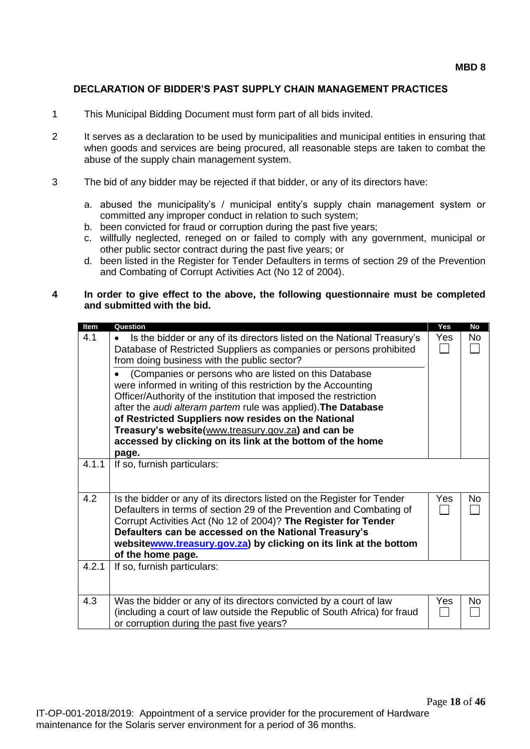## **DECLARATION OF BIDDER'S PAST SUPPLY CHAIN MANAGEMENT PRACTICES**

- 1 This Municipal Bidding Document must form part of all bids invited.
- 2 It serves as a declaration to be used by municipalities and municipal entities in ensuring that when goods and services are being procured, all reasonable steps are taken to combat the abuse of the supply chain management system.
- 3 The bid of any bidder may be rejected if that bidder, or any of its directors have:
	- a. abused the municipality's / municipal entity's supply chain management system or committed any improper conduct in relation to such system;
	- b. been convicted for fraud or corruption during the past five years;
	- c. willfully neglected, reneged on or failed to comply with any government, municipal or other public sector contract during the past five years; or
	- d. been listed in the Register for Tender Defaulters in terms of section 29 of the Prevention and Combating of Corrupt Activities Act (No 12 of 2004).

#### **4 In order to give effect to the above, the following questionnaire must be completed and submitted with the bid.**

| Item  | Question                                                                     | Yes | <b>No</b> |
|-------|------------------------------------------------------------------------------|-----|-----------|
| 4.1   | Is the bidder or any of its directors listed on the National Treasury's<br>٠ | Yes | No        |
|       | Database of Restricted Suppliers as companies or persons prohibited          |     |           |
|       | from doing business with the public sector?                                  |     |           |
|       | (Companies or persons who are listed on this Database                        |     |           |
|       | were informed in writing of this restriction by the Accounting               |     |           |
|       | Officer/Authority of the institution that imposed the restriction            |     |           |
|       | after the audi alteram partem rule was applied). The Database                |     |           |
|       | of Restricted Suppliers now resides on the National                          |     |           |
|       | Treasury's website(www.treasury.gov.za) and can be                           |     |           |
|       | accessed by clicking on its link at the bottom of the home                   |     |           |
|       |                                                                              |     |           |
|       | page.                                                                        |     |           |
| 4.1.1 | If so, furnish particulars:                                                  |     |           |
|       |                                                                              |     |           |
|       |                                                                              |     |           |
| 4.2   | Is the bidder or any of its directors listed on the Register for Tender      | Yes | No        |
|       | Defaulters in terms of section 29 of the Prevention and Combating of         |     |           |
|       | Corrupt Activities Act (No 12 of 2004)? The Register for Tender              |     |           |
|       | Defaulters can be accessed on the National Treasury's                        |     |           |
|       | websitewww.treasury.gov.za) by clicking on its link at the bottom            |     |           |
|       | of the home page.                                                            |     |           |
| 4.2.1 | If so, furnish particulars:                                                  |     |           |
|       |                                                                              |     |           |
|       |                                                                              |     |           |
| 4.3   | Was the bidder or any of its directors convicted by a court of law           | Yes | No        |
|       | (including a court of law outside the Republic of South Africa) for fraud    |     |           |
|       | or corruption during the past five years?                                    |     |           |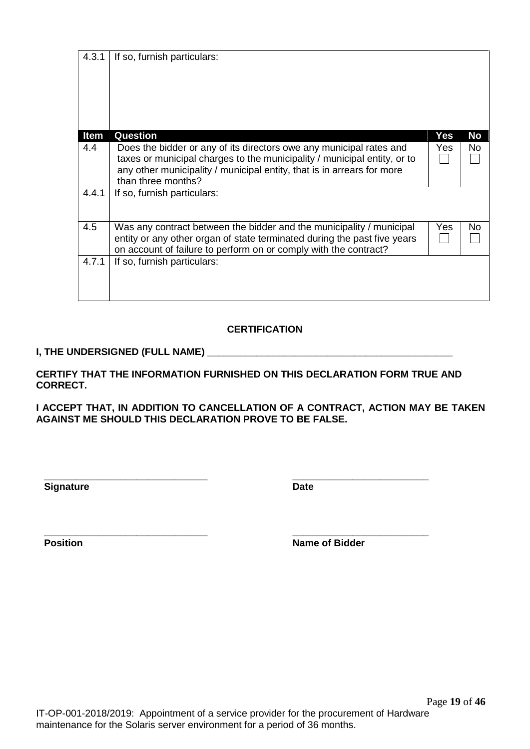| <b>Date</b>           |  |
|-----------------------|--|
| <b>Name of Bidder</b> |  |
|                       |  |
|                       |  |
|                       |  |
|                       |  |

| <b>Signature</b> | <b>Date</b>           |
|------------------|-----------------------|
| <b>Position</b>  | <b>Name of Bidder</b> |

|       | than three months?                                                                                                                                                                                                   |     |           |
|-------|----------------------------------------------------------------------------------------------------------------------------------------------------------------------------------------------------------------------|-----|-----------|
| 4.4.1 | If so, furnish particulars:                                                                                                                                                                                          |     |           |
| 4.5   | Was any contract between the bidder and the municipality / municipal<br>entity or any other organ of state terminated during the past five years<br>on account of failure to perform on or comply with the contract? | Yes | <b>No</b> |
| 4.7.1 | If so, furnish particulars:                                                                                                                                                                                          |     |           |

**Item Question Yes No**

taxes or municipal charges to the municipality / municipal entity, or to any other municipality / municipal entity, that is in arrears for more

4.4 | Does the bidder or any of its directors owe any municipal rates and

# **CERTIFICATION**

# **I, THE UNDERSIGNED (FULL NAME)**

4.3.1 | If so, furnish particulars:

**CERTIFY THAT THE INFORMATION FURNISHED ON THIS DECLARATION FORM TRUE AND CORRECT.**

**I ACCEPT THAT, IN ADDITION TO CANCELLATION OF A CONTRACT, ACTION MAY BE TAKEN AGAINST ME SHOULD THIS DECLARATION PROVE TO BE FALSE.**

IT-OP-001-2018/2019: Appointment of a service provider for the procurement of Hardware maintenance for the Solaris server environment for a period of 36 months.

Page **19** of **46**

Yes No

 $\Box$ 

П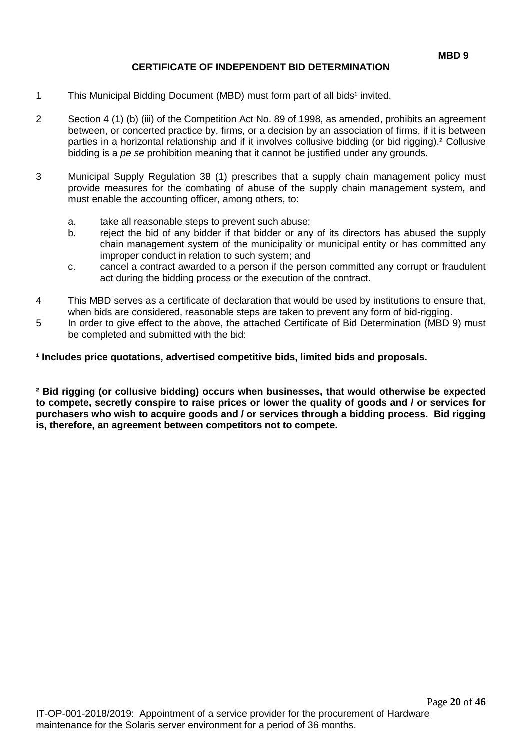# **CERTIFICATE OF INDEPENDENT BID DETERMINATION**

- 1 This Municipal Bidding Document (MBD) must form part of all bids<sup>1</sup> invited.
- 2 Section 4 (1) (b) (iii) of the Competition Act No. 89 of 1998, as amended, prohibits an agreement between, or concerted practice by, firms, or a decision by an association of firms, if it is between parties in a horizontal relationship and if it involves collusive bidding (or bid rigging).² Collusive bidding is a *pe se* prohibition meaning that it cannot be justified under any grounds.
- 3 Municipal Supply Regulation 38 (1) prescribes that a supply chain management policy must provide measures for the combating of abuse of the supply chain management system, and must enable the accounting officer, among others, to:
	- a. take all reasonable steps to prevent such abuse;
	- b. reject the bid of any bidder if that bidder or any of its directors has abused the supply chain management system of the municipality or municipal entity or has committed any improper conduct in relation to such system; and
	- c. cancel a contract awarded to a person if the person committed any corrupt or fraudulent act during the bidding process or the execution of the contract.
- 4 This MBD serves as a certificate of declaration that would be used by institutions to ensure that, when bids are considered, reasonable steps are taken to prevent any form of bid-rigging.
- 5 In order to give effect to the above, the attached Certificate of Bid Determination (MBD 9) must be completed and submitted with the bid:

**¹ Includes price quotations, advertised competitive bids, limited bids and proposals.**

**² Bid rigging (or collusive bidding) occurs when businesses, that would otherwise be expected to compete, secretly conspire to raise prices or lower the quality of goods and / or services for purchasers who wish to acquire goods and / or services through a bidding process. Bid rigging is, therefore, an agreement between competitors not to compete.**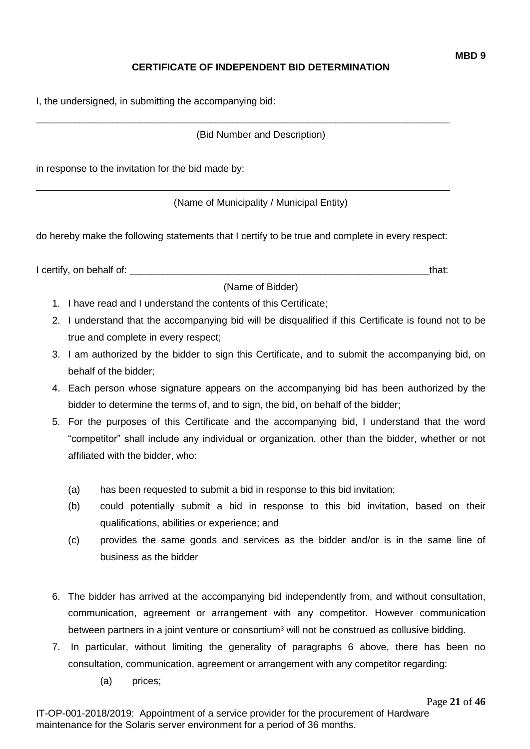# **CERTIFICATE OF INDEPENDENT BID DETERMINATION**

I, the undersigned, in submitting the accompanying bid:

(Bid Number and Description)

\_\_\_\_\_\_\_\_\_\_\_\_\_\_\_\_\_\_\_\_\_\_\_\_\_\_\_\_\_\_\_\_\_\_\_\_\_\_\_\_\_\_\_\_\_\_\_\_\_\_\_\_\_\_\_\_\_\_\_\_\_\_\_\_\_\_\_\_\_\_\_\_\_\_\_\_

in response to the invitation for the bid made by:

(Name of Municipality / Municipal Entity)

do hereby make the following statements that I certify to be true and complete in every respect:

\_\_\_\_\_\_\_\_\_\_\_\_\_\_\_\_\_\_\_\_\_\_\_\_\_\_\_\_\_\_\_\_\_\_\_\_\_\_\_\_\_\_\_\_\_\_\_\_\_\_\_\_\_\_\_\_\_\_\_\_\_\_\_\_\_\_\_\_\_\_\_\_\_\_\_\_

I certify, on behalf of: the state of the state of the state of the state of the state of the state of the state of the state of the state of the state of the state of the state of the state of the state of the state of th

(Name of Bidder)

- 1. I have read and I understand the contents of this Certificate;
- 2. I understand that the accompanying bid will be disqualified if this Certificate is found not to be true and complete in every respect;
- 3. I am authorized by the bidder to sign this Certificate, and to submit the accompanying bid, on behalf of the bidder;
- 4. Each person whose signature appears on the accompanying bid has been authorized by the bidder to determine the terms of, and to sign, the bid, on behalf of the bidder;
- 5. For the purposes of this Certificate and the accompanying bid, I understand that the word "competitor" shall include any individual or organization, other than the bidder, whether or not affiliated with the bidder, who:
	- (a) has been requested to submit a bid in response to this bid invitation;
	- (b) could potentially submit a bid in response to this bid invitation, based on their qualifications, abilities or experience; and
	- (c) provides the same goods and services as the bidder and/or is in the same line of business as the bidder
- 6. The bidder has arrived at the accompanying bid independently from, and without consultation, communication, agreement or arrangement with any competitor. However communication between partners in a joint venture or consortium<sup>3</sup> will not be construed as collusive bidding.
- 7. In particular, without limiting the generality of paragraphs 6 above, there has been no consultation, communication, agreement or arrangement with any competitor regarding:
	- (a) prices;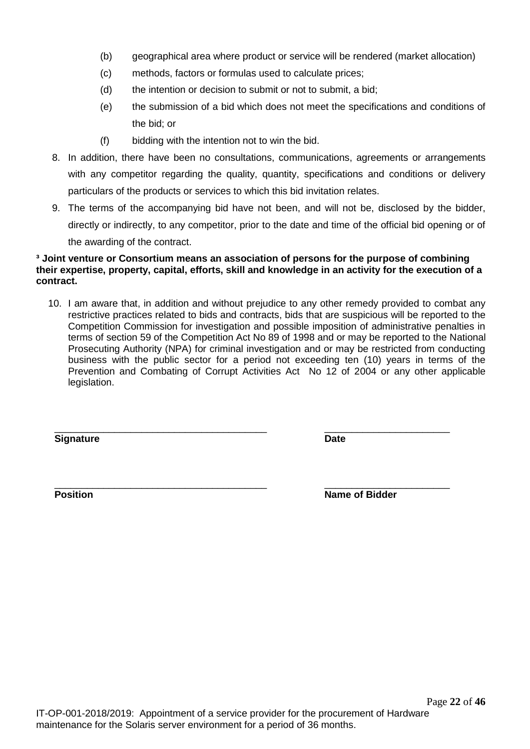- (b) geographical area where product or service will be rendered (market allocation)
- (c) methods, factors or formulas used to calculate prices;
- (d) the intention or decision to submit or not to submit, a bid;
- (e) the submission of a bid which does not meet the specifications and conditions of the bid; or
- (f) bidding with the intention not to win the bid.
- 8. In addition, there have been no consultations, communications, agreements or arrangements with any competitor regarding the quality, quantity, specifications and conditions or delivery particulars of the products or services to which this bid invitation relates.
- 9. The terms of the accompanying bid have not been, and will not be, disclosed by the bidder, directly or indirectly, to any competitor, prior to the date and time of the official bid opening or of the awarding of the contract.

#### **³ Joint venture or Consortium means an association of persons for the purpose of combining their expertise, property, capital, efforts, skill and knowledge in an activity for the execution of a contract.**

10. I am aware that, in addition and without prejudice to any other remedy provided to combat any restrictive practices related to bids and contracts, bids that are suspicious will be reported to the Competition Commission for investigation and possible imposition of administrative penalties in terms of section 59 of the Competition Act No 89 of 1998 and or may be reported to the National Prosecuting Authority (NPA) for criminal investigation and or may be restricted from conducting business with the public sector for a period not exceeding ten (10) years in terms of the Prevention and Combating of Corrupt Activities Act No 12 of 2004 or any other applicable legislation.

\_\_\_\_\_\_\_\_\_\_\_\_\_\_\_\_\_\_\_\_\_\_\_\_\_\_\_\_\_\_\_\_\_\_\_\_\_\_\_ \_\_\_\_\_\_\_\_\_\_\_\_\_\_\_\_\_\_\_\_\_\_\_

**Signature Date**

\_\_\_\_\_\_\_\_\_\_\_\_\_\_\_\_\_\_\_\_\_\_\_\_\_\_\_\_\_\_\_\_\_\_\_\_\_\_\_ \_\_\_\_\_\_\_\_\_\_\_\_\_\_\_\_\_\_\_\_\_\_\_ **Position Name of Bidder** 

Page **22** of **46**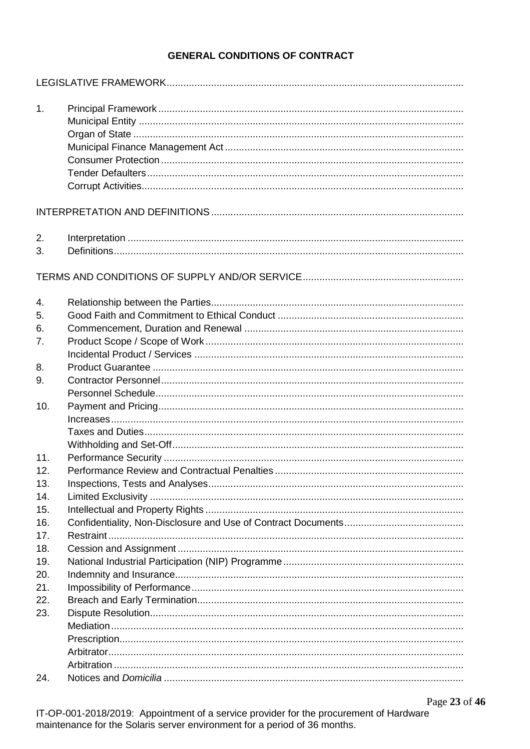# **GENERAL CONDITIONS OF CONTRACT**

| 1.  |  |
|-----|--|
|     |  |
|     |  |
|     |  |
|     |  |
|     |  |
| 2.  |  |
| 3.  |  |
|     |  |
| 4.  |  |
| 5.  |  |
| 6.  |  |
| 7.  |  |
|     |  |
| 8.  |  |
| 9.  |  |
|     |  |
| 10. |  |
|     |  |
|     |  |
| 11. |  |
| 12. |  |
| 13. |  |
| 14. |  |
| 15. |  |
| 16. |  |
| 17. |  |
| 18. |  |
| 19. |  |
| 20. |  |
| 21. |  |
| 22. |  |
| 23. |  |
|     |  |
|     |  |
|     |  |
|     |  |
| 24. |  |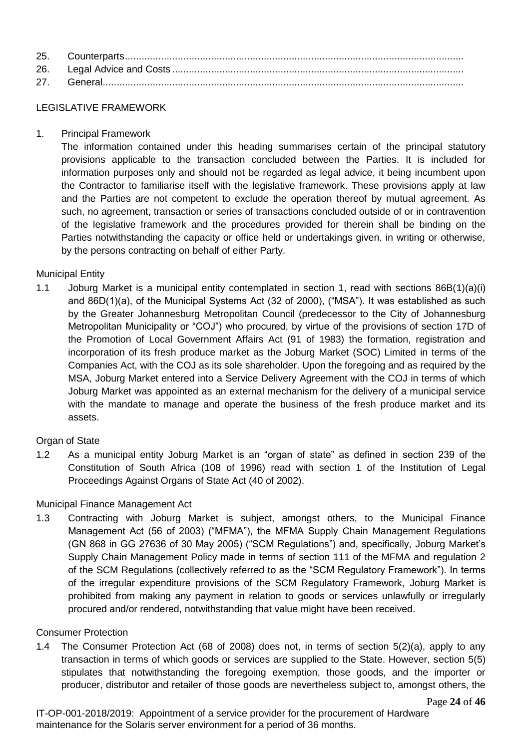### LEGISLATIVE FRAMEWORK

1. Principal Framework

The information contained under this heading summarises certain of the principal statutory provisions applicable to the transaction concluded between the Parties. It is included for information purposes only and should not be regarded as legal advice, it being incumbent upon the Contractor to familiarise itself with the legislative framework. These provisions apply at law and the Parties are not competent to exclude the operation thereof by mutual agreement. As such, no agreement, transaction or series of transactions concluded outside of or in contravention of the legislative framework and the procedures provided for therein shall be binding on the Parties notwithstanding the capacity or office held or undertakings given, in writing or otherwise, by the persons contracting on behalf of either Party.

# Municipal Entity

1.1 Joburg Market is a municipal entity contemplated in section 1, read with sections 86B(1)(a)(i) and 86D(1)(a), of the Municipal Systems Act (32 of 2000), ("MSA"). It was established as such by the Greater Johannesburg Metropolitan Council (predecessor to the City of Johannesburg Metropolitan Municipality or "COJ") who procured, by virtue of the provisions of section 17D of the Promotion of Local Government Affairs Act (91 of 1983) the formation, registration and incorporation of its fresh produce market as the Joburg Market (SOC) Limited in terms of the Companies Act, with the COJ as its sole shareholder. Upon the foregoing and as required by the MSA, Joburg Market entered into a Service Delivery Agreement with the COJ in terms of which Joburg Market was appointed as an external mechanism for the delivery of a municipal service with the mandate to manage and operate the business of the fresh produce market and its assets.

# Organ of State

1.2 As a municipal entity Joburg Market is an "organ of state" as defined in section 239 of the Constitution of South Africa (108 of 1996) read with section 1 of the Institution of Legal Proceedings Against Organs of State Act (40 of 2002).

# Municipal Finance Management Act

1.3 Contracting with Joburg Market is subject, amongst others, to the Municipal Finance Management Act (56 of 2003) ("MFMA"), the MFMA Supply Chain Management Regulations (GN 868 in GG 27636 of 30 May 2005) ("SCM Regulations") and, specifically, Joburg Market's Supply Chain Management Policy made in terms of section 111 of the MFMA and regulation 2 of the SCM Regulations (collectively referred to as the "SCM Regulatory Framework"). In terms of the irregular expenditure provisions of the SCM Regulatory Framework, Joburg Market is prohibited from making any payment in relation to goods or services unlawfully or irregularly procured and/or rendered, notwithstanding that value might have been received.

#### Consumer Protection

1.4 The Consumer Protection Act (68 of 2008) does not, in terms of section 5(2)(a), apply to any transaction in terms of which goods or services are supplied to the State. However, section 5(5) stipulates that notwithstanding the foregoing exemption, those goods, and the importer or producer, distributor and retailer of those goods are nevertheless subject to, amongst others, the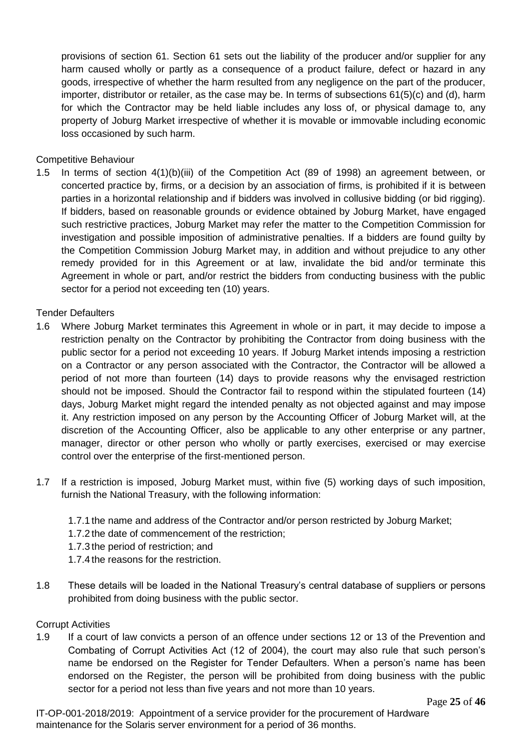provisions of section 61. Section 61 sets out the liability of the producer and/or supplier for any harm caused wholly or partly as a consequence of a product failure, defect or hazard in any goods, irrespective of whether the harm resulted from any negligence on the part of the producer, importer, distributor or retailer, as the case may be. In terms of subsections 61(5)(c) and (d), harm for which the Contractor may be held liable includes any loss of, or physical damage to, any property of Joburg Market irrespective of whether it is movable or immovable including economic loss occasioned by such harm.

# Competitive Behaviour

1.5 In terms of section 4(1)(b)(iii) of the Competition Act (89 of 1998) an agreement between, or concerted practice by, firms, or a decision by an association of firms, is prohibited if it is between parties in a horizontal relationship and if bidders was involved in collusive bidding (or bid rigging). If bidders, based on reasonable grounds or evidence obtained by Joburg Market, have engaged such restrictive practices, Joburg Market may refer the matter to the Competition Commission for investigation and possible imposition of administrative penalties. If a bidders are found guilty by the Competition Commission Joburg Market may, in addition and without prejudice to any other remedy provided for in this Agreement or at law, invalidate the bid and/or terminate this Agreement in whole or part, and/or restrict the bidders from conducting business with the public sector for a period not exceeding ten (10) years.

#### Tender Defaulters

- 1.6 Where Joburg Market terminates this Agreement in whole or in part, it may decide to impose a restriction penalty on the Contractor by prohibiting the Contractor from doing business with the public sector for a period not exceeding 10 years. If Joburg Market intends imposing a restriction on a Contractor or any person associated with the Contractor, the Contractor will be allowed a period of not more than fourteen (14) days to provide reasons why the envisaged restriction should not be imposed. Should the Contractor fail to respond within the stipulated fourteen (14) days, Joburg Market might regard the intended penalty as not objected against and may impose it. Any restriction imposed on any person by the Accounting Officer of Joburg Market will, at the discretion of the Accounting Officer, also be applicable to any other enterprise or any partner, manager, director or other person who wholly or partly exercises, exercised or may exercise control over the enterprise of the first-mentioned person.
- 1.7 If a restriction is imposed, Joburg Market must, within five (5) working days of such imposition, furnish the National Treasury, with the following information:
	- 1.7.1 the name and address of the Contractor and/or person restricted by Joburg Market;
	- 1.7.2 the date of commencement of the restriction;
	- 1.7.3 the period of restriction; and
	- 1.7.4 the reasons for the restriction.
- 1.8 These details will be loaded in the National Treasury's central database of suppliers or persons prohibited from doing business with the public sector.

#### Corrupt Activities

1.9 If a court of law convicts a person of an offence under sections 12 or 13 of the Prevention and Combating of Corrupt Activities Act (12 of 2004), the court may also rule that such person's name be endorsed on the Register for Tender Defaulters. When a person's name has been endorsed on the Register, the person will be prohibited from doing business with the public sector for a period not less than five years and not more than 10 years.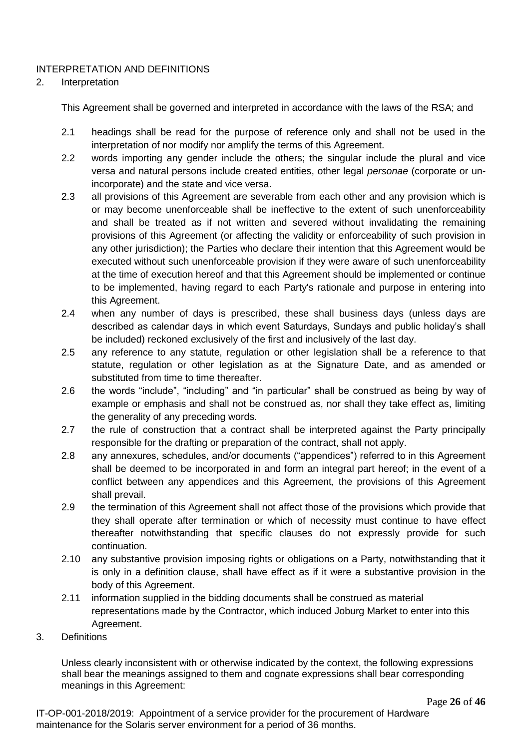# INTERPRETATION AND DEFINITIONS

# 2. Interpretation

This Agreement shall be governed and interpreted in accordance with the laws of the RSA; and

- 2.1 headings shall be read for the purpose of reference only and shall not be used in the interpretation of nor modify nor amplify the terms of this Agreement.
- 2.2 words importing any gender include the others; the singular include the plural and vice versa and natural persons include created entities, other legal *personae* (corporate or unincorporate) and the state and vice versa.
- 2.3 all provisions of this Agreement are severable from each other and any provision which is or may become unenforceable shall be ineffective to the extent of such unenforceability and shall be treated as if not written and severed without invalidating the remaining provisions of this Agreement (or affecting the validity or enforceability of such provision in any other jurisdiction); the Parties who declare their intention that this Agreement would be executed without such unenforceable provision if they were aware of such unenforceability at the time of execution hereof and that this Agreement should be implemented or continue to be implemented, having regard to each Party's rationale and purpose in entering into this Agreement.
- 2.4 when any number of days is prescribed, these shall business days (unless days are described as calendar days in which event Saturdays, Sundays and public holiday's shall be included) reckoned exclusively of the first and inclusively of the last day.
- 2.5 any reference to any statute, regulation or other legislation shall be a reference to that statute, regulation or other legislation as at the Signature Date, and as amended or substituted from time to time thereafter.
- 2.6 the words "include", "including" and "in particular" shall be construed as being by way of example or emphasis and shall not be construed as, nor shall they take effect as, limiting the generality of any preceding words.
- 2.7 the rule of construction that a contract shall be interpreted against the Party principally responsible for the drafting or preparation of the contract, shall not apply.
- 2.8 any annexures, schedules, and/or documents ("appendices") referred to in this Agreement shall be deemed to be incorporated in and form an integral part hereof; in the event of a conflict between any appendices and this Agreement, the provisions of this Agreement shall prevail.
- 2.9 the termination of this Agreement shall not affect those of the provisions which provide that they shall operate after termination or which of necessity must continue to have effect thereafter notwithstanding that specific clauses do not expressly provide for such continuation.
- 2.10 any substantive provision imposing rights or obligations on a Party, notwithstanding that it is only in a definition clause, shall have effect as if it were a substantive provision in the body of this Agreement.
- 2.11 information supplied in the bidding documents shall be construed as material representations made by the Contractor, which induced Joburg Market to enter into this Agreement.
- 3. Definitions

Unless clearly inconsistent with or otherwise indicated by the context, the following expressions shall bear the meanings assigned to them and cognate expressions shall bear corresponding meanings in this Agreement: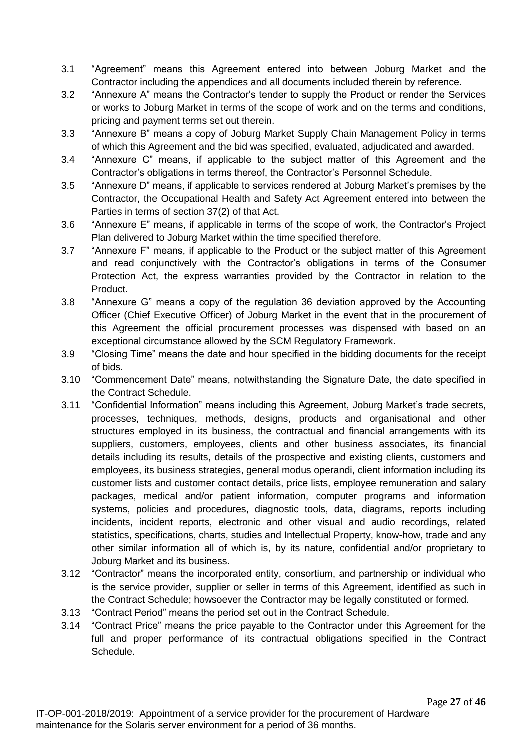- 3.1 "Agreement" means this Agreement entered into between Joburg Market and the Contractor including the appendices and all documents included therein by reference.
- 3.2 "Annexure A" means the Contractor's tender to supply the Product or render the Services or works to Joburg Market in terms of the scope of work and on the terms and conditions, pricing and payment terms set out therein.
- 3.3 "Annexure B" means a copy of Joburg Market Supply Chain Management Policy in terms of which this Agreement and the bid was specified, evaluated, adjudicated and awarded.
- 3.4 "Annexure C" means, if applicable to the subject matter of this Agreement and the Contractor's obligations in terms thereof, the Contractor's Personnel Schedule.
- 3.5 "Annexure D" means, if applicable to services rendered at Joburg Market's premises by the Contractor, the Occupational Health and Safety Act Agreement entered into between the Parties in terms of section 37(2) of that Act.
- 3.6 "Annexure E" means, if applicable in terms of the scope of work, the Contractor's Project Plan delivered to Joburg Market within the time specified therefore.
- 3.7 "Annexure F" means, if applicable to the Product or the subject matter of this Agreement and read conjunctively with the Contractor's obligations in terms of the Consumer Protection Act, the express warranties provided by the Contractor in relation to the Product.
- 3.8 "Annexure G" means a copy of the regulation 36 deviation approved by the Accounting Officer (Chief Executive Officer) of Joburg Market in the event that in the procurement of this Agreement the official procurement processes was dispensed with based on an exceptional circumstance allowed by the SCM Regulatory Framework.
- 3.9 "Closing Time" means the date and hour specified in the bidding documents for the receipt of bids.
- 3.10 "Commencement Date" means, notwithstanding the Signature Date, the date specified in the Contract Schedule.
- 3.11 "Confidential Information" means including this Agreement, Joburg Market's trade secrets, processes, techniques, methods, designs, products and organisational and other structures employed in its business, the contractual and financial arrangements with its suppliers, customers, employees, clients and other business associates, its financial details including its results, details of the prospective and existing clients, customers and employees, its business strategies, general modus operandi, client information including its customer lists and customer contact details, price lists, employee remuneration and salary packages, medical and/or patient information, computer programs and information systems, policies and procedures, diagnostic tools, data, diagrams, reports including incidents, incident reports, electronic and other visual and audio recordings, related statistics, specifications, charts, studies and Intellectual Property, know-how, trade and any other similar information all of which is, by its nature, confidential and/or proprietary to Joburg Market and its business.
- 3.12 "Contractor" means the incorporated entity, consortium, and partnership or individual who is the service provider, supplier or seller in terms of this Agreement, identified as such in the Contract Schedule; howsoever the Contractor may be legally constituted or formed.
- 3.13 "Contract Period" means the period set out in the Contract Schedule.
- 3.14 "Contract Price" means the price payable to the Contractor under this Agreement for the full and proper performance of its contractual obligations specified in the Contract Schedule.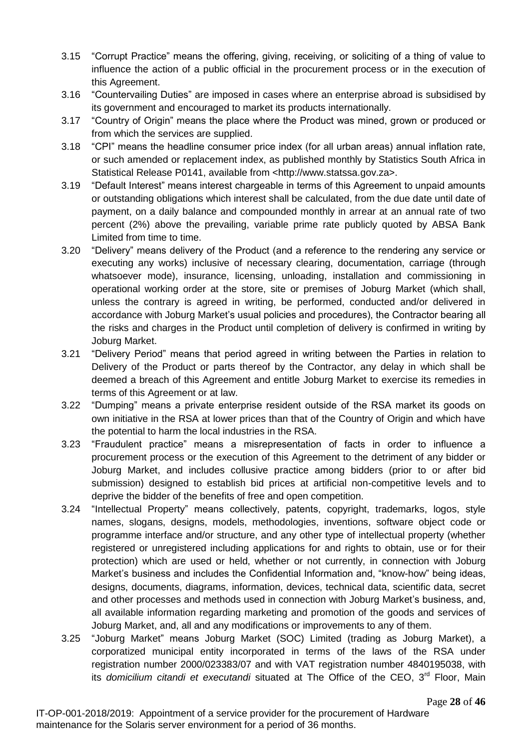- 3.15 "Corrupt Practice" means the offering, giving, receiving, or soliciting of a thing of value to influence the action of a public official in the procurement process or in the execution of this Agreement.
- 3.16 "Countervailing Duties" are imposed in cases where an enterprise abroad is subsidised by its government and encouraged to market its products internationally.
- 3.17 "Country of Origin" means the place where the Product was mined, grown or produced or from which the services are supplied.
- 3.18 "CPI" means the headline consumer price index (for all urban areas) annual inflation rate, or such amended or replacement index, as published monthly by Statistics South Africa in Statistical Release P0141, available from <http://www.statssa.gov.za>.
- 3.19 "Default Interest" means interest chargeable in terms of this Agreement to unpaid amounts or outstanding obligations which interest shall be calculated, from the due date until date of payment, on a daily balance and compounded monthly in arrear at an annual rate of two percent (2%) above the prevailing, variable prime rate publicly quoted by ABSA Bank Limited from time to time.
- 3.20 "Delivery" means delivery of the Product (and a reference to the rendering any service or executing any works) inclusive of necessary clearing, documentation, carriage (through whatsoever mode), insurance, licensing, unloading, installation and commissioning in operational working order at the store, site or premises of Joburg Market (which shall, unless the contrary is agreed in writing, be performed, conducted and/or delivered in accordance with Joburg Market's usual policies and procedures), the Contractor bearing all the risks and charges in the Product until completion of delivery is confirmed in writing by Joburg Market.
- 3.21 "Delivery Period" means that period agreed in writing between the Parties in relation to Delivery of the Product or parts thereof by the Contractor, any delay in which shall be deemed a breach of this Agreement and entitle Joburg Market to exercise its remedies in terms of this Agreement or at law.
- 3.22 "Dumping" means a private enterprise resident outside of the RSA market its goods on own initiative in the RSA at lower prices than that of the Country of Origin and which have the potential to harm the local industries in the RSA.
- 3.23 "Fraudulent practice" means a misrepresentation of facts in order to influence a procurement process or the execution of this Agreement to the detriment of any bidder or Joburg Market, and includes collusive practice among bidders (prior to or after bid submission) designed to establish bid prices at artificial non-competitive levels and to deprive the bidder of the benefits of free and open competition.
- 3.24 "Intellectual Property" means collectively, patents, copyright, trademarks, logos, style names, slogans, designs, models, methodologies, inventions, software object code or programme interface and/or structure, and any other type of intellectual property (whether registered or unregistered including applications for and rights to obtain, use or for their protection) which are used or held, whether or not currently, in connection with Joburg Market's business and includes the Confidential Information and, "know-how" being ideas, designs, documents, diagrams, information, devices, technical data, scientific data, secret and other processes and methods used in connection with Joburg Market's business, and, all available information regarding marketing and promotion of the goods and services of Joburg Market, and, all and any modifications or improvements to any of them.
- 3.25 "Joburg Market" means Joburg Market (SOC) Limited (trading as Joburg Market), a corporatized municipal entity incorporated in terms of the laws of the RSA under registration number 2000/023383/07 and with VAT registration number 4840195038, with its *domicilium citandi et executandi* situated at The Office of the CEO, 3<sup>rd</sup> Floor, Main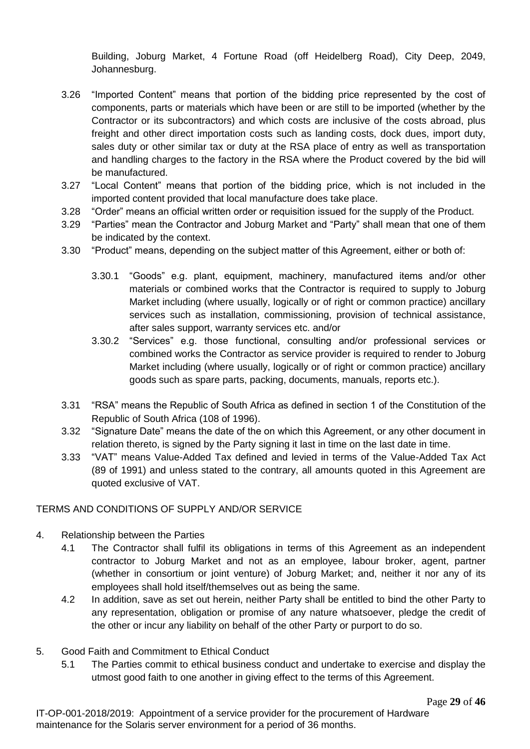Building, Joburg Market, 4 Fortune Road (off Heidelberg Road), City Deep, 2049, Johannesburg.

- 3.26 "Imported Content" means that portion of the bidding price represented by the cost of components, parts or materials which have been or are still to be imported (whether by the Contractor or its subcontractors) and which costs are inclusive of the costs abroad, plus freight and other direct importation costs such as landing costs, dock dues, import duty, sales duty or other similar tax or duty at the RSA place of entry as well as transportation and handling charges to the factory in the RSA where the Product covered by the bid will be manufactured.
- 3.27 "Local Content" means that portion of the bidding price, which is not included in the imported content provided that local manufacture does take place.
- 3.28 "Order" means an official written order or requisition issued for the supply of the Product.
- 3.29 "Parties" mean the Contractor and Joburg Market and "Party" shall mean that one of them be indicated by the context.
- 3.30 "Product" means, depending on the subject matter of this Agreement, either or both of:
	- 3.30.1 "Goods" e.g. plant, equipment, machinery, manufactured items and/or other materials or combined works that the Contractor is required to supply to Joburg Market including (where usually, logically or of right or common practice) ancillary services such as installation, commissioning, provision of technical assistance, after sales support, warranty services etc. and/or
	- 3.30.2 "Services" e.g. those functional, consulting and/or professional services or combined works the Contractor as service provider is required to render to Joburg Market including (where usually, logically or of right or common practice) ancillary goods such as spare parts, packing, documents, manuals, reports etc.).
- 3.31 "RSA" means the Republic of South Africa as defined in section 1 of the Constitution of the Republic of South Africa (108 of 1996).
- 3.32 "Signature Date" means the date of the on which this Agreement, or any other document in relation thereto, is signed by the Party signing it last in time on the last date in time.
- 3.33 "VAT" means Value-Added Tax defined and levied in terms of the Value-Added Tax Act (89 of 1991) and unless stated to the contrary, all amounts quoted in this Agreement are quoted exclusive of VAT.

# TERMS AND CONDITIONS OF SUPPLY AND/OR SERVICE

- 4. Relationship between the Parties
	- 4.1 The Contractor shall fulfil its obligations in terms of this Agreement as an independent contractor to Joburg Market and not as an employee, labour broker, agent, partner (whether in consortium or joint venture) of Joburg Market; and, neither it nor any of its employees shall hold itself/themselves out as being the same.
	- 4.2 In addition, save as set out herein, neither Party shall be entitled to bind the other Party to any representation, obligation or promise of any nature whatsoever, pledge the credit of the other or incur any liability on behalf of the other Party or purport to do so.
- 5. Good Faith and Commitment to Ethical Conduct
	- 5.1 The Parties commit to ethical business conduct and undertake to exercise and display the utmost good faith to one another in giving effect to the terms of this Agreement.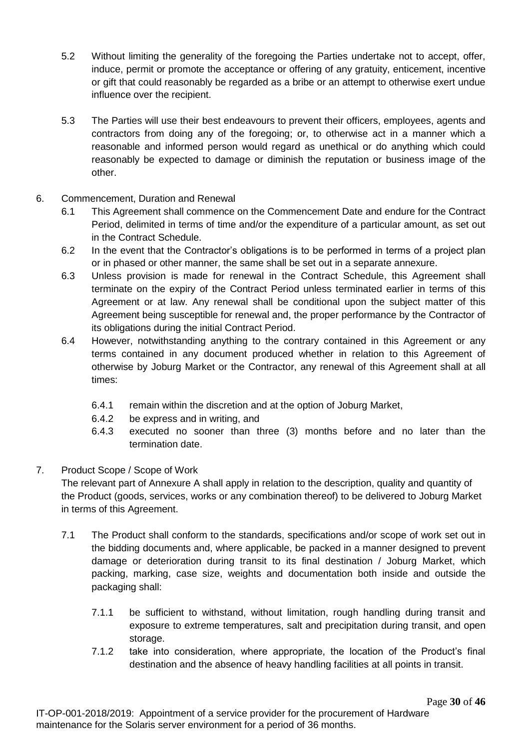- 5.2 Without limiting the generality of the foregoing the Parties undertake not to accept, offer, induce, permit or promote the acceptance or offering of any gratuity, enticement, incentive or gift that could reasonably be regarded as a bribe or an attempt to otherwise exert undue influence over the recipient.
- 5.3 The Parties will use their best endeavours to prevent their officers, employees, agents and contractors from doing any of the foregoing; or, to otherwise act in a manner which a reasonable and informed person would regard as unethical or do anything which could reasonably be expected to damage or diminish the reputation or business image of the other.
- 6. Commencement, Duration and Renewal
	- 6.1 This Agreement shall commence on the Commencement Date and endure for the Contract Period, delimited in terms of time and/or the expenditure of a particular amount, as set out in the Contract Schedule.
	- 6.2 In the event that the Contractor's obligations is to be performed in terms of a project plan or in phased or other manner, the same shall be set out in a separate annexure.
	- 6.3 Unless provision is made for renewal in the Contract Schedule, this Agreement shall terminate on the expiry of the Contract Period unless terminated earlier in terms of this Agreement or at law. Any renewal shall be conditional upon the subject matter of this Agreement being susceptible for renewal and, the proper performance by the Contractor of its obligations during the initial Contract Period.
	- 6.4 However, notwithstanding anything to the contrary contained in this Agreement or any terms contained in any document produced whether in relation to this Agreement of otherwise by Joburg Market or the Contractor, any renewal of this Agreement shall at all times:
		- 6.4.1 remain within the discretion and at the option of Joburg Market,
		- 6.4.2 be express and in writing, and
		- 6.4.3 executed no sooner than three (3) months before and no later than the termination date.

# 7. Product Scope / Scope of Work

The relevant part of Annexure A shall apply in relation to the description, quality and quantity of the Product (goods, services, works or any combination thereof) to be delivered to Joburg Market in terms of this Agreement.

- 7.1 The Product shall conform to the standards, specifications and/or scope of work set out in the bidding documents and, where applicable, be packed in a manner designed to prevent damage or deterioration during transit to its final destination / Joburg Market, which packing, marking, case size, weights and documentation both inside and outside the packaging shall:
	- 7.1.1 be sufficient to withstand, without limitation, rough handling during transit and exposure to extreme temperatures, salt and precipitation during transit, and open storage.
	- 7.1.2 take into consideration, where appropriate, the location of the Product's final destination and the absence of heavy handling facilities at all points in transit.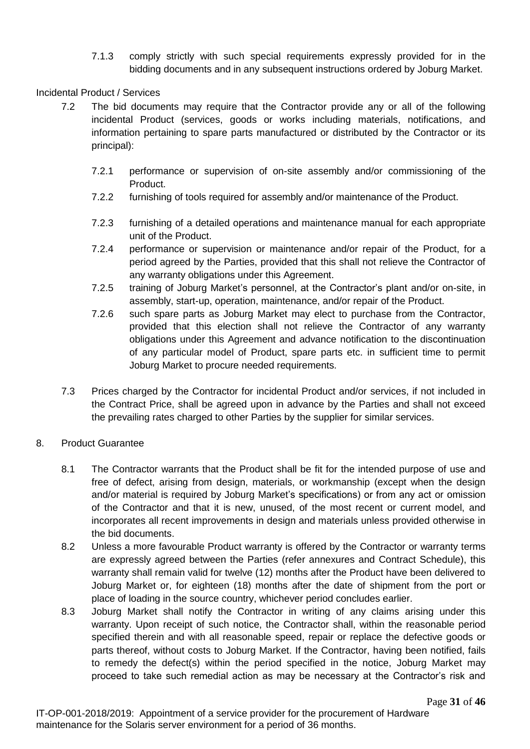7.1.3 comply strictly with such special requirements expressly provided for in the bidding documents and in any subsequent instructions ordered by Joburg Market.

# Incidental Product / Services

- 7.2 The bid documents may require that the Contractor provide any or all of the following incidental Product (services, goods or works including materials, notifications, and information pertaining to spare parts manufactured or distributed by the Contractor or its principal):
	- 7.2.1 performance or supervision of on-site assembly and/or commissioning of the Product.
	- 7.2.2 furnishing of tools required for assembly and/or maintenance of the Product.
	- 7.2.3 furnishing of a detailed operations and maintenance manual for each appropriate unit of the Product.
	- 7.2.4 performance or supervision or maintenance and/or repair of the Product, for a period agreed by the Parties, provided that this shall not relieve the Contractor of any warranty obligations under this Agreement.
	- 7.2.5 training of Joburg Market's personnel, at the Contractor's plant and/or on-site, in assembly, start-up, operation, maintenance, and/or repair of the Product.
	- 7.2.6 such spare parts as Joburg Market may elect to purchase from the Contractor, provided that this election shall not relieve the Contractor of any warranty obligations under this Agreement and advance notification to the discontinuation of any particular model of Product, spare parts etc. in sufficient time to permit Joburg Market to procure needed requirements.
- 7.3 Prices charged by the Contractor for incidental Product and/or services, if not included in the Contract Price, shall be agreed upon in advance by the Parties and shall not exceed the prevailing rates charged to other Parties by the supplier for similar services.

# 8. Product Guarantee

- 8.1 The Contractor warrants that the Product shall be fit for the intended purpose of use and free of defect, arising from design, materials, or workmanship (except when the design and/or material is required by Joburg Market's specifications) or from any act or omission of the Contractor and that it is new, unused, of the most recent or current model, and incorporates all recent improvements in design and materials unless provided otherwise in the bid documents.
- 8.2 Unless a more favourable Product warranty is offered by the Contractor or warranty terms are expressly agreed between the Parties (refer annexures and Contract Schedule), this warranty shall remain valid for twelve (12) months after the Product have been delivered to Joburg Market or, for eighteen (18) months after the date of shipment from the port or place of loading in the source country, whichever period concludes earlier.
- 8.3 Joburg Market shall notify the Contractor in writing of any claims arising under this warranty. Upon receipt of such notice, the Contractor shall, within the reasonable period specified therein and with all reasonable speed, repair or replace the defective goods or parts thereof, without costs to Joburg Market. If the Contractor, having been notified, fails to remedy the defect(s) within the period specified in the notice, Joburg Market may proceed to take such remedial action as may be necessary at the Contractor's risk and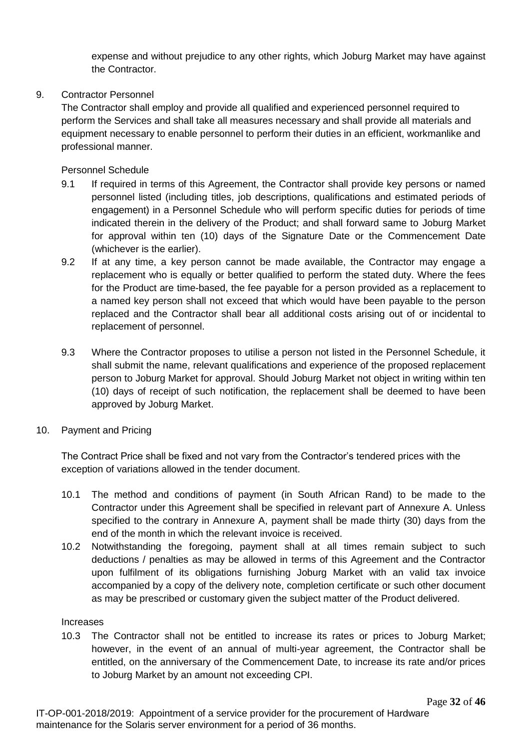expense and without prejudice to any other rights, which Joburg Market may have against the Contractor.

# 9. Contractor Personnel

The Contractor shall employ and provide all qualified and experienced personnel required to perform the Services and shall take all measures necessary and shall provide all materials and equipment necessary to enable personnel to perform their duties in an efficient, workmanlike and professional manner.

Personnel Schedule

- 9.1 If required in terms of this Agreement, the Contractor shall provide key persons or named personnel listed (including titles, job descriptions, qualifications and estimated periods of engagement) in a Personnel Schedule who will perform specific duties for periods of time indicated therein in the delivery of the Product; and shall forward same to Joburg Market for approval within ten (10) days of the Signature Date or the Commencement Date (whichever is the earlier).
- 9.2 If at any time, a key person cannot be made available, the Contractor may engage a replacement who is equally or better qualified to perform the stated duty. Where the fees for the Product are time-based, the fee payable for a person provided as a replacement to a named key person shall not exceed that which would have been payable to the person replaced and the Contractor shall bear all additional costs arising out of or incidental to replacement of personnel.
- 9.3 Where the Contractor proposes to utilise a person not listed in the Personnel Schedule, it shall submit the name, relevant qualifications and experience of the proposed replacement person to Joburg Market for approval. Should Joburg Market not object in writing within ten (10) days of receipt of such notification, the replacement shall be deemed to have been approved by Joburg Market.
- 10. Payment and Pricing

The Contract Price shall be fixed and not vary from the Contractor's tendered prices with the exception of variations allowed in the tender document.

- 10.1 The method and conditions of payment (in South African Rand) to be made to the Contractor under this Agreement shall be specified in relevant part of Annexure A. Unless specified to the contrary in Annexure A, payment shall be made thirty (30) days from the end of the month in which the relevant invoice is received.
- 10.2 Notwithstanding the foregoing, payment shall at all times remain subject to such deductions / penalties as may be allowed in terms of this Agreement and the Contractor upon fulfilment of its obligations furnishing Joburg Market with an valid tax invoice accompanied by a copy of the delivery note, completion certificate or such other document as may be prescribed or customary given the subject matter of the Product delivered.

# Increases

10.3 The Contractor shall not be entitled to increase its rates or prices to Joburg Market; however, in the event of an annual of multi-year agreement, the Contractor shall be entitled, on the anniversary of the Commencement Date, to increase its rate and/or prices to Joburg Market by an amount not exceeding CPI.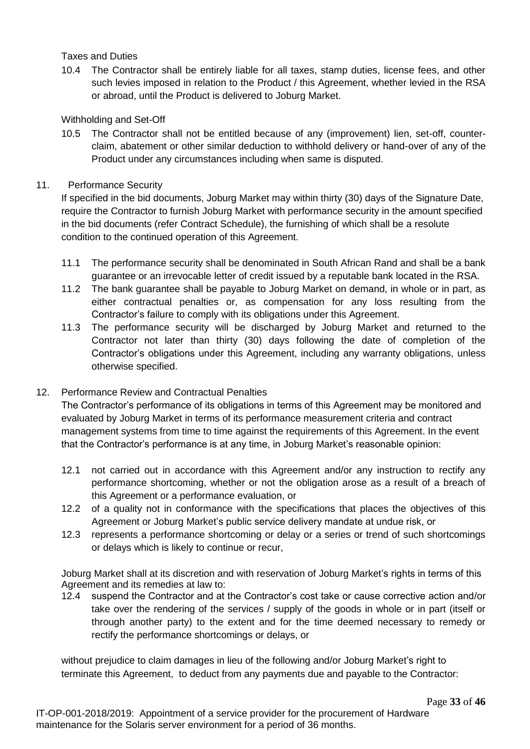# Taxes and Duties

10.4 The Contractor shall be entirely liable for all taxes, stamp duties, license fees, and other such levies imposed in relation to the Product / this Agreement, whether levied in the RSA or abroad, until the Product is delivered to Joburg Market.

# Withholding and Set-Off

10.5 The Contractor shall not be entitled because of any (improvement) lien, set-off, counterclaim, abatement or other similar deduction to withhold delivery or hand-over of any of the Product under any circumstances including when same is disputed.

# 11. Performance Security

If specified in the bid documents, Joburg Market may within thirty (30) days of the Signature Date, require the Contractor to furnish Joburg Market with performance security in the amount specified in the bid documents (refer Contract Schedule), the furnishing of which shall be a resolute condition to the continued operation of this Agreement.

- 11.1 The performance security shall be denominated in South African Rand and shall be a bank guarantee or an irrevocable letter of credit issued by a reputable bank located in the RSA.
- 11.2 The bank guarantee shall be payable to Joburg Market on demand, in whole or in part, as either contractual penalties or, as compensation for any loss resulting from the Contractor's failure to comply with its obligations under this Agreement.
- 11.3 The performance security will be discharged by Joburg Market and returned to the Contractor not later than thirty (30) days following the date of completion of the Contractor's obligations under this Agreement, including any warranty obligations, unless otherwise specified.

# 12. Performance Review and Contractual Penalties

The Contractor's performance of its obligations in terms of this Agreement may be monitored and evaluated by Joburg Market in terms of its performance measurement criteria and contract management systems from time to time against the requirements of this Agreement. In the event that the Contractor's performance is at any time, in Joburg Market's reasonable opinion:

- 12.1 not carried out in accordance with this Agreement and/or any instruction to rectify any performance shortcoming, whether or not the obligation arose as a result of a breach of this Agreement or a performance evaluation, or
- 12.2 of a quality not in conformance with the specifications that places the objectives of this Agreement or Joburg Market's public service delivery mandate at undue risk, or
- 12.3 represents a performance shortcoming or delay or a series or trend of such shortcomings or delays which is likely to continue or recur,

Joburg Market shall at its discretion and with reservation of Joburg Market's rights in terms of this Agreement and its remedies at law to:

12.4 suspend the Contractor and at the Contractor's cost take or cause corrective action and/or take over the rendering of the services / supply of the goods in whole or in part (itself or through another party) to the extent and for the time deemed necessary to remedy or rectify the performance shortcomings or delays, or

without prejudice to claim damages in lieu of the following and/or Joburg Market's right to terminate this Agreement, to deduct from any payments due and payable to the Contractor: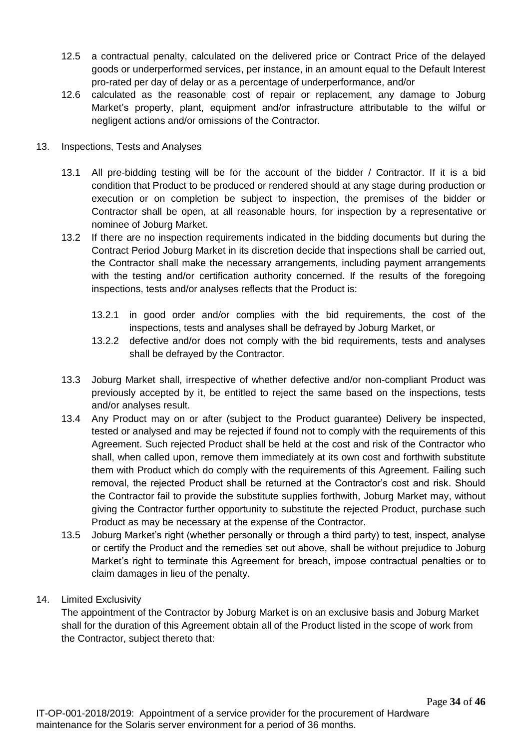- 12.5 a contractual penalty, calculated on the delivered price or Contract Price of the delayed goods or underperformed services, per instance, in an amount equal to the Default Interest pro-rated per day of delay or as a percentage of underperformance, and/or
- 12.6 calculated as the reasonable cost of repair or replacement, any damage to Joburg Market's property, plant, equipment and/or infrastructure attributable to the wilful or negligent actions and/or omissions of the Contractor.
- 13. Inspections, Tests and Analyses
	- 13.1 All pre-bidding testing will be for the account of the bidder / Contractor. If it is a bid condition that Product to be produced or rendered should at any stage during production or execution or on completion be subject to inspection, the premises of the bidder or Contractor shall be open, at all reasonable hours, for inspection by a representative or nominee of Joburg Market.
	- 13.2 If there are no inspection requirements indicated in the bidding documents but during the Contract Period Joburg Market in its discretion decide that inspections shall be carried out, the Contractor shall make the necessary arrangements, including payment arrangements with the testing and/or certification authority concerned. If the results of the foregoing inspections, tests and/or analyses reflects that the Product is:
		- 13.2.1 in good order and/or complies with the bid requirements, the cost of the inspections, tests and analyses shall be defrayed by Joburg Market, or
		- 13.2.2 defective and/or does not comply with the bid requirements, tests and analyses shall be defrayed by the Contractor.
	- 13.3 Joburg Market shall, irrespective of whether defective and/or non-compliant Product was previously accepted by it, be entitled to reject the same based on the inspections, tests and/or analyses result.
	- 13.4 Any Product may on or after (subject to the Product guarantee) Delivery be inspected, tested or analysed and may be rejected if found not to comply with the requirements of this Agreement. Such rejected Product shall be held at the cost and risk of the Contractor who shall, when called upon, remove them immediately at its own cost and forthwith substitute them with Product which do comply with the requirements of this Agreement. Failing such removal, the rejected Product shall be returned at the Contractor's cost and risk. Should the Contractor fail to provide the substitute supplies forthwith, Joburg Market may, without giving the Contractor further opportunity to substitute the rejected Product, purchase such Product as may be necessary at the expense of the Contractor.
	- 13.5 Joburg Market's right (whether personally or through a third party) to test, inspect, analyse or certify the Product and the remedies set out above, shall be without prejudice to Joburg Market's right to terminate this Agreement for breach, impose contractual penalties or to claim damages in lieu of the penalty.
- 14. Limited Exclusivity

The appointment of the Contractor by Joburg Market is on an exclusive basis and Joburg Market shall for the duration of this Agreement obtain all of the Product listed in the scope of work from the Contractor, subject thereto that: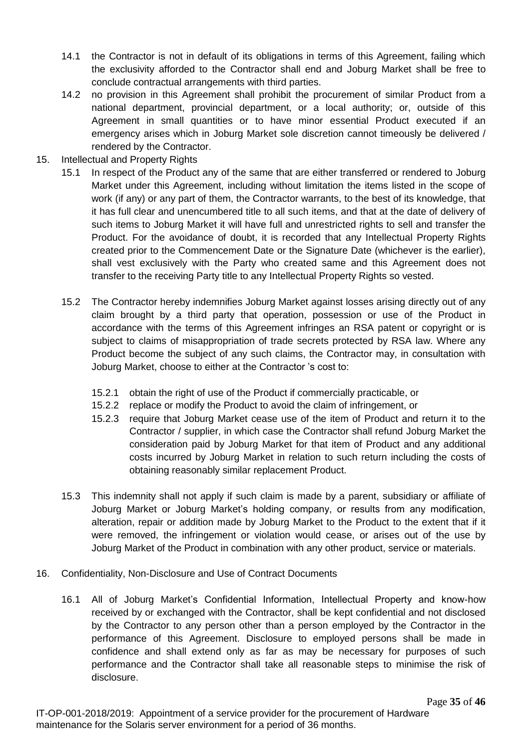- 14.1 the Contractor is not in default of its obligations in terms of this Agreement, failing which the exclusivity afforded to the Contractor shall end and Joburg Market shall be free to conclude contractual arrangements with third parties.
- 14.2 no provision in this Agreement shall prohibit the procurement of similar Product from a national department, provincial department, or a local authority; or, outside of this Agreement in small quantities or to have minor essential Product executed if an emergency arises which in Joburg Market sole discretion cannot timeously be delivered / rendered by the Contractor.
- 15. Intellectual and Property Rights
	- 15.1 In respect of the Product any of the same that are either transferred or rendered to Joburg Market under this Agreement, including without limitation the items listed in the scope of work (if any) or any part of them, the Contractor warrants, to the best of its knowledge, that it has full clear and unencumbered title to all such items, and that at the date of delivery of such items to Joburg Market it will have full and unrestricted rights to sell and transfer the Product. For the avoidance of doubt, it is recorded that any Intellectual Property Rights created prior to the Commencement Date or the Signature Date (whichever is the earlier), shall vest exclusively with the Party who created same and this Agreement does not transfer to the receiving Party title to any Intellectual Property Rights so vested.
	- 15.2 The Contractor hereby indemnifies Joburg Market against losses arising directly out of any claim brought by a third party that operation, possession or use of the Product in accordance with the terms of this Agreement infringes an RSA patent or copyright or is subject to claims of misappropriation of trade secrets protected by RSA law. Where any Product become the subject of any such claims, the Contractor may, in consultation with Joburg Market, choose to either at the Contractor 's cost to:
		- 15.2.1 obtain the right of use of the Product if commercially practicable, or
		- 15.2.2 replace or modify the Product to avoid the claim of infringement, or
		- 15.2.3 require that Joburg Market cease use of the item of Product and return it to the Contractor / supplier, in which case the Contractor shall refund Joburg Market the consideration paid by Joburg Market for that item of Product and any additional costs incurred by Joburg Market in relation to such return including the costs of obtaining reasonably similar replacement Product.
	- 15.3 This indemnity shall not apply if such claim is made by a parent, subsidiary or affiliate of Joburg Market or Joburg Market's holding company, or results from any modification, alteration, repair or addition made by Joburg Market to the Product to the extent that if it were removed, the infringement or violation would cease, or arises out of the use by Joburg Market of the Product in combination with any other product, service or materials.
- 16. Confidentiality, Non-Disclosure and Use of Contract Documents
	- 16.1 All of Joburg Market's Confidential Information, Intellectual Property and know-how received by or exchanged with the Contractor, shall be kept confidential and not disclosed by the Contractor to any person other than a person employed by the Contractor in the performance of this Agreement. Disclosure to employed persons shall be made in confidence and shall extend only as far as may be necessary for purposes of such performance and the Contractor shall take all reasonable steps to minimise the risk of disclosure.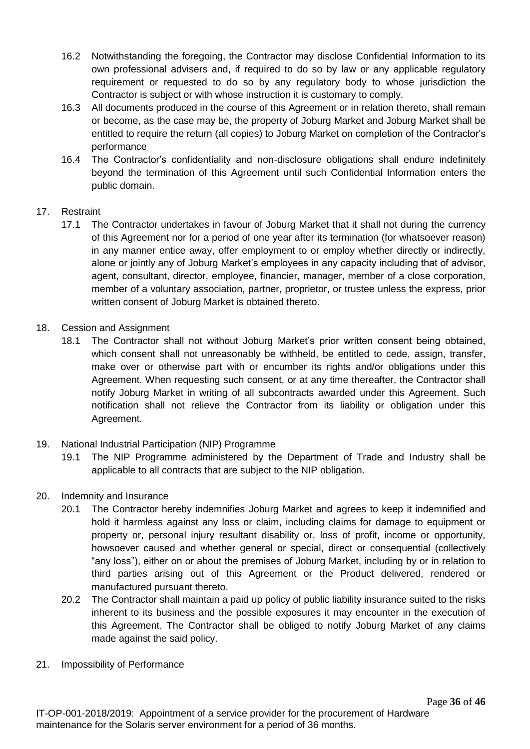- 16.2 Notwithstanding the foregoing, the Contractor may disclose Confidential Information to its own professional advisers and, if required to do so by law or any applicable regulatory requirement or requested to do so by any regulatory body to whose jurisdiction the Contractor is subject or with whose instruction it is customary to comply.
- 16.3 All documents produced in the course of this Agreement or in relation thereto, shall remain or become, as the case may be, the property of Joburg Market and Joburg Market shall be entitled to require the return (all copies) to Joburg Market on completion of the Contractor's performance
- 16.4 The Contractor's confidentiality and non-disclosure obligations shall endure indefinitely beyond the termination of this Agreement until such Confidential Information enters the public domain.

# 17. Restraint

- 17.1 The Contractor undertakes in favour of Joburg Market that it shall not during the currency of this Agreement nor for a period of one year after its termination (for whatsoever reason) in any manner entice away, offer employment to or employ whether directly or indirectly, alone or jointly any of Joburg Market's employees in any capacity including that of advisor, agent, consultant, director, employee, financier, manager, member of a close corporation, member of a voluntary association, partner, proprietor, or trustee unless the express, prior written consent of Joburg Market is obtained thereto.
- 18. Cession and Assignment
	- 18.1 The Contractor shall not without Joburg Market's prior written consent being obtained, which consent shall not unreasonably be withheld, be entitled to cede, assign, transfer, make over or otherwise part with or encumber its rights and/or obligations under this Agreement. When requesting such consent, or at any time thereafter, the Contractor shall notify Joburg Market in writing of all subcontracts awarded under this Agreement. Such notification shall not relieve the Contractor from its liability or obligation under this Agreement.
- 19. National Industrial Participation (NIP) Programme
	- 19.1 The NIP Programme administered by the Department of Trade and Industry shall be applicable to all contracts that are subject to the NIP obligation.
- 20. Indemnity and Insurance
	- 20.1 The Contractor hereby indemnifies Joburg Market and agrees to keep it indemnified and hold it harmless against any loss or claim, including claims for damage to equipment or property or, personal injury resultant disability or, loss of profit, income or opportunity, howsoever caused and whether general or special, direct or consequential (collectively "any loss"), either on or about the premises of Joburg Market, including by or in relation to third parties arising out of this Agreement or the Product delivered, rendered or manufactured pursuant thereto.
	- 20.2 The Contractor shall maintain a paid up policy of public liability insurance suited to the risks inherent to its business and the possible exposures it may encounter in the execution of this Agreement. The Contractor shall be obliged to notify Joburg Market of any claims made against the said policy.
- 21. Impossibility of Performance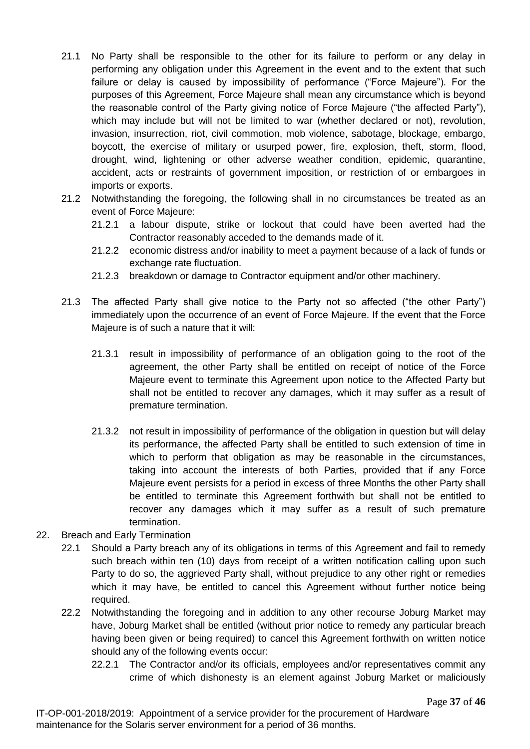- 21.1 No Party shall be responsible to the other for its failure to perform or any delay in performing any obligation under this Agreement in the event and to the extent that such failure or delay is caused by impossibility of performance ("Force Majeure"). For the purposes of this Agreement, Force Majeure shall mean any circumstance which is beyond the reasonable control of the Party giving notice of Force Majeure ("the affected Party"), which may include but will not be limited to war (whether declared or not), revolution, invasion, insurrection, riot, civil commotion, mob violence, sabotage, blockage, embargo, boycott, the exercise of military or usurped power, fire, explosion, theft, storm, flood, drought, wind, lightening or other adverse weather condition, epidemic, quarantine, accident, acts or restraints of government imposition, or restriction of or embargoes in imports or exports.
- 21.2 Notwithstanding the foregoing, the following shall in no circumstances be treated as an event of Force Majeure:
	- 21.2.1 a labour dispute, strike or lockout that could have been averted had the Contractor reasonably acceded to the demands made of it.
	- 21.2.2 economic distress and/or inability to meet a payment because of a lack of funds or exchange rate fluctuation.
	- 21.2.3 breakdown or damage to Contractor equipment and/or other machinery.
- 21.3 The affected Party shall give notice to the Party not so affected ("the other Party") immediately upon the occurrence of an event of Force Majeure. If the event that the Force Majeure is of such a nature that it will:
	- 21.3.1 result in impossibility of performance of an obligation going to the root of the agreement, the other Party shall be entitled on receipt of notice of the Force Majeure event to terminate this Agreement upon notice to the Affected Party but shall not be entitled to recover any damages, which it may suffer as a result of premature termination.
	- 21.3.2 not result in impossibility of performance of the obligation in question but will delay its performance, the affected Party shall be entitled to such extension of time in which to perform that obligation as may be reasonable in the circumstances, taking into account the interests of both Parties, provided that if any Force Majeure event persists for a period in excess of three Months the other Party shall be entitled to terminate this Agreement forthwith but shall not be entitled to recover any damages which it may suffer as a result of such premature termination.
- 22. Breach and Early Termination
	- 22.1 Should a Party breach any of its obligations in terms of this Agreement and fail to remedy such breach within ten (10) days from receipt of a written notification calling upon such Party to do so, the aggrieved Party shall, without prejudice to any other right or remedies which it may have, be entitled to cancel this Agreement without further notice being required.
	- 22.2 Notwithstanding the foregoing and in addition to any other recourse Joburg Market may have, Joburg Market shall be entitled (without prior notice to remedy any particular breach having been given or being required) to cancel this Agreement forthwith on written notice should any of the following events occur:
		- 22.2.1 The Contractor and/or its officials, employees and/or representatives commit any crime of which dishonesty is an element against Joburg Market or maliciously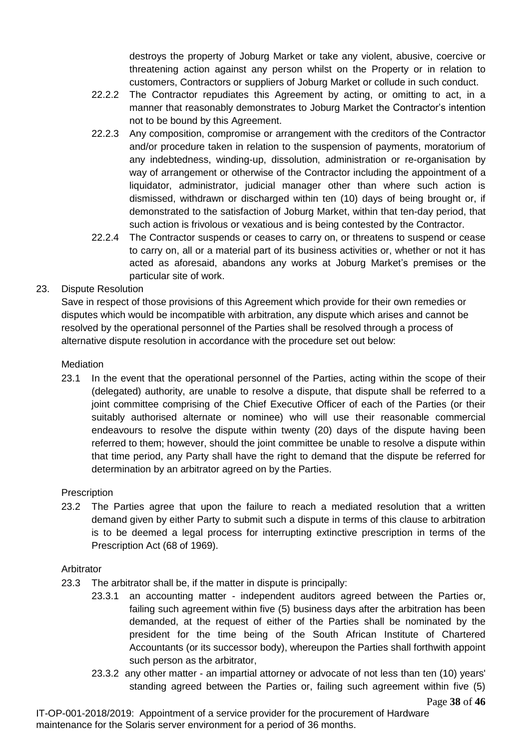destroys the property of Joburg Market or take any violent, abusive, coercive or threatening action against any person whilst on the Property or in relation to customers, Contractors or suppliers of Joburg Market or collude in such conduct.

- 22.2.2 The Contractor repudiates this Agreement by acting, or omitting to act, in a manner that reasonably demonstrates to Joburg Market the Contractor's intention not to be bound by this Agreement.
- 22.2.3 Any composition, compromise or arrangement with the creditors of the Contractor and/or procedure taken in relation to the suspension of payments, moratorium of any indebtedness, winding-up, dissolution, administration or re-organisation by way of arrangement or otherwise of the Contractor including the appointment of a liquidator, administrator, judicial manager other than where such action is dismissed, withdrawn or discharged within ten (10) days of being brought or, if demonstrated to the satisfaction of Joburg Market, within that ten-day period, that such action is frivolous or vexatious and is being contested by the Contractor.
- 22.2.4 The Contractor suspends or ceases to carry on, or threatens to suspend or cease to carry on, all or a material part of its business activities or, whether or not it has acted as aforesaid, abandons any works at Joburg Market's premises or the particular site of work.

23. Dispute Resolution

Save in respect of those provisions of this Agreement which provide for their own remedies or disputes which would be incompatible with arbitration, any dispute which arises and cannot be resolved by the operational personnel of the Parties shall be resolved through a process of alternative dispute resolution in accordance with the procedure set out below:

**Mediation** 

23.1 In the event that the operational personnel of the Parties, acting within the scope of their (delegated) authority, are unable to resolve a dispute, that dispute shall be referred to a joint committee comprising of the Chief Executive Officer of each of the Parties (or their suitably authorised alternate or nominee) who will use their reasonable commercial endeavours to resolve the dispute within twenty (20) days of the dispute having been referred to them; however, should the joint committee be unable to resolve a dispute within that time period, any Party shall have the right to demand that the dispute be referred for determination by an arbitrator agreed on by the Parties.

# **Prescription**

23.2 The Parties agree that upon the failure to reach a mediated resolution that a written demand given by either Party to submit such a dispute in terms of this clause to arbitration is to be deemed a legal process for interrupting extinctive prescription in terms of the Prescription Act (68 of 1969).

# Arbitrator

- 23.3 The arbitrator shall be, if the matter in dispute is principally:
	- 23.3.1 an accounting matter independent auditors agreed between the Parties or, failing such agreement within five (5) business days after the arbitration has been demanded, at the request of either of the Parties shall be nominated by the president for the time being of the South African Institute of Chartered Accountants (or its successor body), whereupon the Parties shall forthwith appoint such person as the arbitrator,
	- 23.3.2 any other matter an impartial attorney or advocate of not less than ten (10) years' standing agreed between the Parties or, failing such agreement within five (5)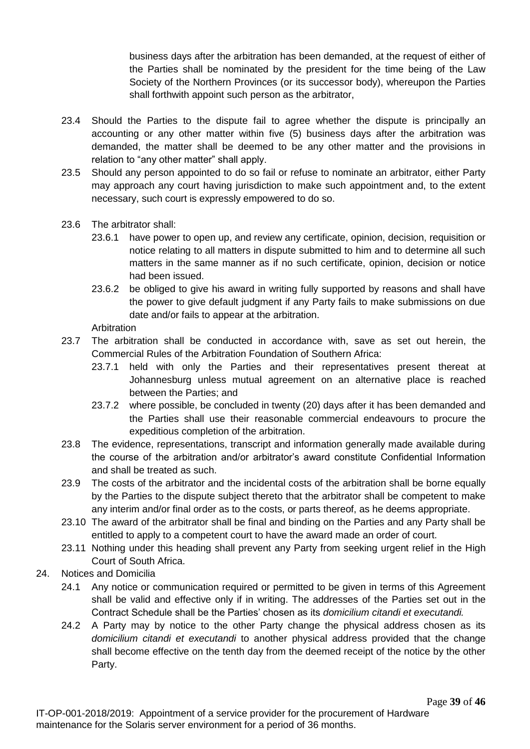business days after the arbitration has been demanded, at the request of either of the Parties shall be nominated by the president for the time being of the Law Society of the Northern Provinces (or its successor body), whereupon the Parties shall forthwith appoint such person as the arbitrator,

- 23.4 Should the Parties to the dispute fail to agree whether the dispute is principally an accounting or any other matter within five (5) business days after the arbitration was demanded, the matter shall be deemed to be any other matter and the provisions in relation to "any other matter" shall apply.
- 23.5 Should any person appointed to do so fail or refuse to nominate an arbitrator, either Party may approach any court having jurisdiction to make such appointment and, to the extent necessary, such court is expressly empowered to do so.
- 23.6 The arbitrator shall:
	- 23.6.1 have power to open up, and review any certificate, opinion, decision, requisition or notice relating to all matters in dispute submitted to him and to determine all such matters in the same manner as if no such certificate, opinion, decision or notice had been issued.
	- 23.6.2 be obliged to give his award in writing fully supported by reasons and shall have the power to give default judgment if any Party fails to make submissions on due date and/or fails to appear at the arbitration.

**Arbitration** 

- 23.7 The arbitration shall be conducted in accordance with, save as set out herein, the Commercial Rules of the Arbitration Foundation of Southern Africa:
	- 23.7.1 held with only the Parties and their representatives present thereat at Johannesburg unless mutual agreement on an alternative place is reached between the Parties; and
	- 23.7.2 where possible, be concluded in twenty (20) days after it has been demanded and the Parties shall use their reasonable commercial endeavours to procure the expeditious completion of the arbitration.
- 23.8 The evidence, representations, transcript and information generally made available during the course of the arbitration and/or arbitrator's award constitute Confidential Information and shall be treated as such.
- 23.9 The costs of the arbitrator and the incidental costs of the arbitration shall be borne equally by the Parties to the dispute subject thereto that the arbitrator shall be competent to make any interim and/or final order as to the costs, or parts thereof, as he deems appropriate.
- 23.10 The award of the arbitrator shall be final and binding on the Parties and any Party shall be entitled to apply to a competent court to have the award made an order of court.
- 23.11 Nothing under this heading shall prevent any Party from seeking urgent relief in the High Court of South Africa.
- 24. Notices and Domicilia
	- 24.1 Any notice or communication required or permitted to be given in terms of this Agreement shall be valid and effective only if in writing. The addresses of the Parties set out in the Contract Schedule shall be the Parties' chosen as its *domicilium citandi et executandi.*
	- 24.2 A Party may by notice to the other Party change the physical address chosen as its *domicilium citandi et executandi* to another physical address provided that the change shall become effective on the tenth day from the deemed receipt of the notice by the other Party.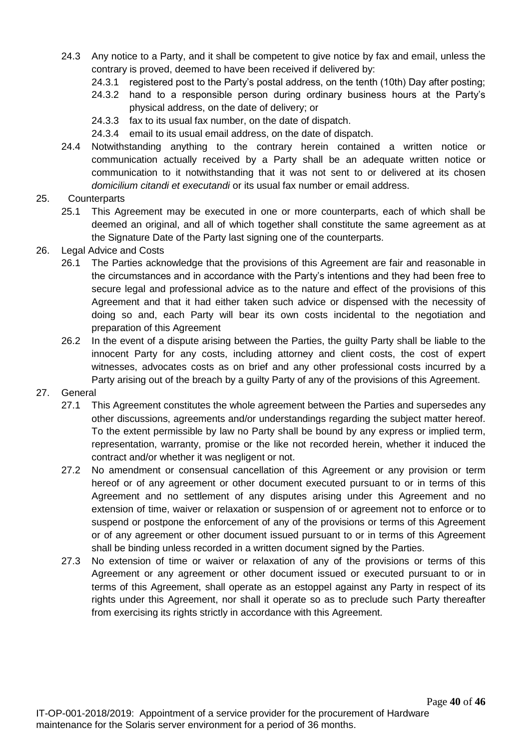- 24.3 Any notice to a Party, and it shall be competent to give notice by fax and email, unless the contrary is proved, deemed to have been received if delivered by:
	- 24.3.1 registered post to the Party's postal address, on the tenth (10th) Day after posting;
	- 24.3.2 hand to a responsible person during ordinary business hours at the Party's physical address, on the date of delivery; or
	- 24.3.3 fax to its usual fax number, on the date of dispatch.
	- 24.3.4 email to its usual email address, on the date of dispatch.
- 24.4 Notwithstanding anything to the contrary herein contained a written notice or communication actually received by a Party shall be an adequate written notice or communication to it notwithstanding that it was not sent to or delivered at its chosen *domicilium citandi et executandi* or its usual fax number or email address.
- 25. Counterparts
	- 25.1 This Agreement may be executed in one or more counterparts, each of which shall be deemed an original, and all of which together shall constitute the same agreement as at the Signature Date of the Party last signing one of the counterparts.
- 26. Legal Advice and Costs
	- 26.1 The Parties acknowledge that the provisions of this Agreement are fair and reasonable in the circumstances and in accordance with the Party's intentions and they had been free to secure legal and professional advice as to the nature and effect of the provisions of this Agreement and that it had either taken such advice or dispensed with the necessity of doing so and, each Party will bear its own costs incidental to the negotiation and preparation of this Agreement
	- 26.2 In the event of a dispute arising between the Parties, the guilty Party shall be liable to the innocent Party for any costs, including attorney and client costs, the cost of expert witnesses, advocates costs as on brief and any other professional costs incurred by a Party arising out of the breach by a quilty Party of any of the provisions of this Agreement.
- 27. General
	- 27.1 This Agreement constitutes the whole agreement between the Parties and supersedes any other discussions, agreements and/or understandings regarding the subject matter hereof. To the extent permissible by law no Party shall be bound by any express or implied term, representation, warranty, promise or the like not recorded herein, whether it induced the contract and/or whether it was negligent or not.
	- 27.2 No amendment or consensual cancellation of this Agreement or any provision or term hereof or of any agreement or other document executed pursuant to or in terms of this Agreement and no settlement of any disputes arising under this Agreement and no extension of time, waiver or relaxation or suspension of or agreement not to enforce or to suspend or postpone the enforcement of any of the provisions or terms of this Agreement or of any agreement or other document issued pursuant to or in terms of this Agreement shall be binding unless recorded in a written document signed by the Parties.
	- 27.3 No extension of time or waiver or relaxation of any of the provisions or terms of this Agreement or any agreement or other document issued or executed pursuant to or in terms of this Agreement, shall operate as an estoppel against any Party in respect of its rights under this Agreement, nor shall it operate so as to preclude such Party thereafter from exercising its rights strictly in accordance with this Agreement.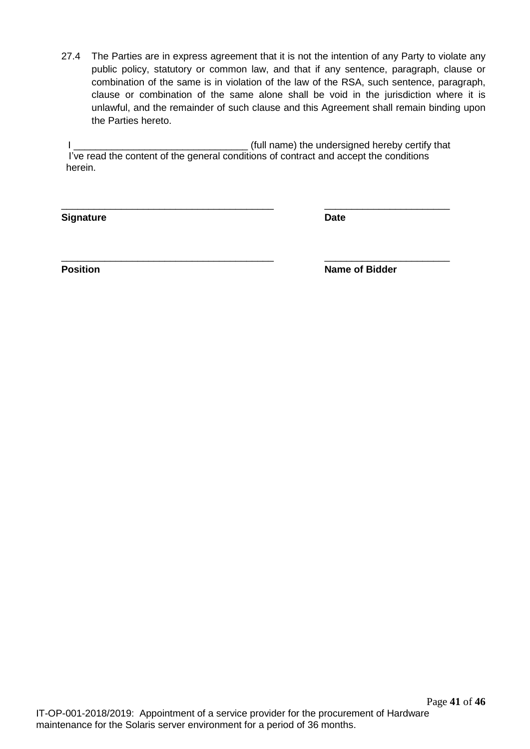27.4 The Parties are in express agreement that it is not the intention of any Party to violate any public policy, statutory or common law, and that if any sentence, paragraph, clause or combination of the same is in violation of the law of the RSA, such sentence, paragraph, clause or combination of the same alone shall be void in the jurisdiction where it is unlawful, and the remainder of such clause and this Agreement shall remain binding upon the Parties hereto.

I \_\_\_\_\_\_\_\_\_\_\_\_\_\_\_\_\_\_\_\_\_\_\_\_\_\_\_\_\_\_\_\_ (full name) the undersigned hereby certify that I've read the content of the general conditions of contract and accept the conditions herein.

\_\_\_\_\_\_\_\_\_\_\_\_\_\_\_\_\_\_\_\_\_\_\_\_\_\_\_\_\_\_\_\_\_\_\_\_\_\_\_ \_\_\_\_\_\_\_\_\_\_\_\_\_\_\_\_\_\_\_\_\_\_\_

\_\_\_\_\_\_\_\_\_\_\_\_\_\_\_\_\_\_\_\_\_\_\_\_\_\_\_\_\_\_\_\_\_\_\_\_\_\_\_ \_\_\_\_\_\_\_\_\_\_\_\_\_\_\_\_\_\_\_\_\_\_\_

**Signature Date** 

**Position Position Name of Bidder**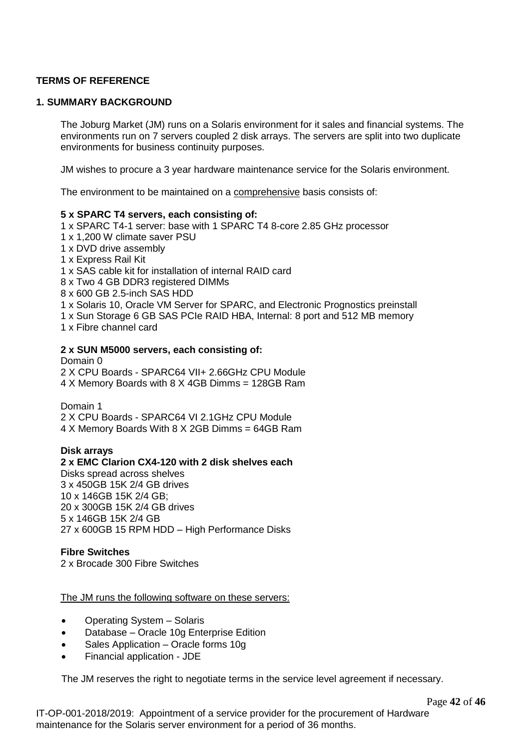# **TERMS OF REFERENCE**

#### **1. SUMMARY BACKGROUND**

The Joburg Market (JM) runs on a Solaris environment for it sales and financial systems. The environments run on 7 servers coupled 2 disk arrays. The servers are split into two duplicate environments for business continuity purposes.

JM wishes to procure a 3 year hardware maintenance service for the Solaris environment.

The environment to be maintained on a comprehensive basis consists of:

#### **5 x SPARC T4 servers, each consisting of:**

- 1 x SPARC T4-1 server: base with 1 SPARC T4 8-core 2.85 GHz processor
- 1 x 1,200 W climate saver PSU
- 1 x DVD drive assembly
- 1 x Express Rail Kit
- 1 x SAS cable kit for installation of internal RAID card
- 8 x Two 4 GB DDR3 registered DIMMs
- 8 x 600 GB 2.5-inch SAS HDD
- 1 x Solaris 10, Oracle VM Server for SPARC, and Electronic Prognostics preinstall
- 1 x Sun Storage 6 GB SAS PCIe RAID HBA, Internal: 8 port and 512 MB memory
- 1 x Fibre channel card

#### **2 x SUN M5000 servers, each consisting of:**

#### Domain 0

2 X CPU Boards - SPARC64 VII+ 2.66GHz CPU Module

4 X Memory Boards with 8 X 4GB Dimms = 128GB Ram

Domain 1

2 X CPU Boards - SPARC64 VI 2.1GHz CPU Module

4 X Memory Boards With 8 X 2GB Dimms = 64GB Ram

#### **Disk arrays**

#### **2 x EMC Clarion CX4-120 with 2 disk shelves each** Disks spread across shelves 3 x 450GB 15K 2/4 GB drives 10 x 146GB 15K 2/4 GB;

20 x 300GB 15K 2/4 GB drives 5 x 146GB 15K 2/4 GB 27 x 600GB 15 RPM HDD – High Performance Disks

#### **Fibre Switches**

2 x Brocade 300 Fibre Switches

The JM runs the following software on these servers:

- Operating System Solaris
- Database Oracle 10g Enterprise Edition
- Sales Application Oracle forms 10g
- Financial application JDE

The JM reserves the right to negotiate terms in the service level agreement if necessary.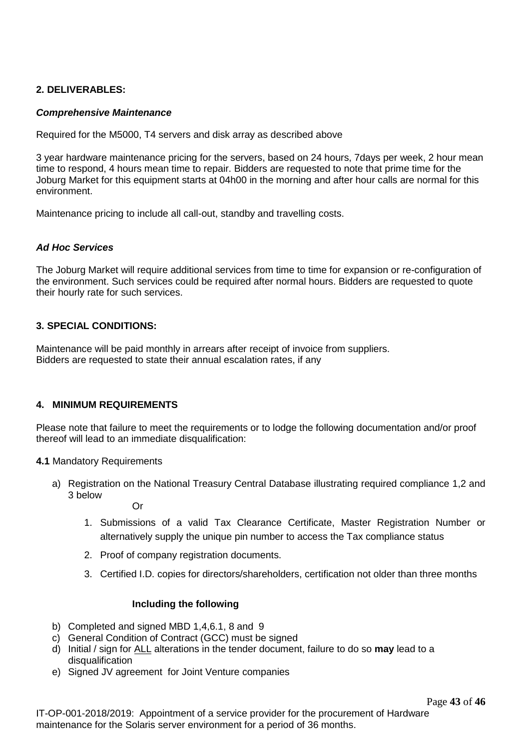### **2. DELIVERABLES:**

#### *Comprehensive Maintenance*

Required for the M5000, T4 servers and disk array as described above

3 year hardware maintenance pricing for the servers, based on 24 hours, 7days per week, 2 hour mean time to respond, 4 hours mean time to repair. Bidders are requested to note that prime time for the Joburg Market for this equipment starts at 04h00 in the morning and after hour calls are normal for this environment.

Maintenance pricing to include all call-out, standby and travelling costs.

## *Ad Hoc Services*

The Joburg Market will require additional services from time to time for expansion or re-configuration of the environment. Such services could be required after normal hours. Bidders are requested to quote their hourly rate for such services.

# **3. SPECIAL CONDITIONS:**

Maintenance will be paid monthly in arrears after receipt of invoice from suppliers. Bidders are requested to state their annual escalation rates, if any

# **4. MINIMUM REQUIREMENTS**

Please note that failure to meet the requirements or to lodge the following documentation and/or proof thereof will lead to an immediate disqualification:

#### **4.1** Mandatory Requirements

a) Registration on the National Treasury Central Database illustrating required compliance 1,2 and 3 below

Or

- 1. Submissions of a valid Tax Clearance Certificate, Master Registration Number or alternatively supply the unique pin number to access the Tax compliance status
- 2. Proof of company registration documents.
- 3. Certified I.D. copies for directors/shareholders, certification not older than three months

# **Including the following**

- b) Completed and signed MBD 1,4,6.1, 8 and 9
- c) General Condition of Contract (GCC) must be signed
- d) Initial / sign for ALL alterations in the tender document, failure to do so **may** lead to a disqualification
- e) Signed JV agreement for Joint Venture companies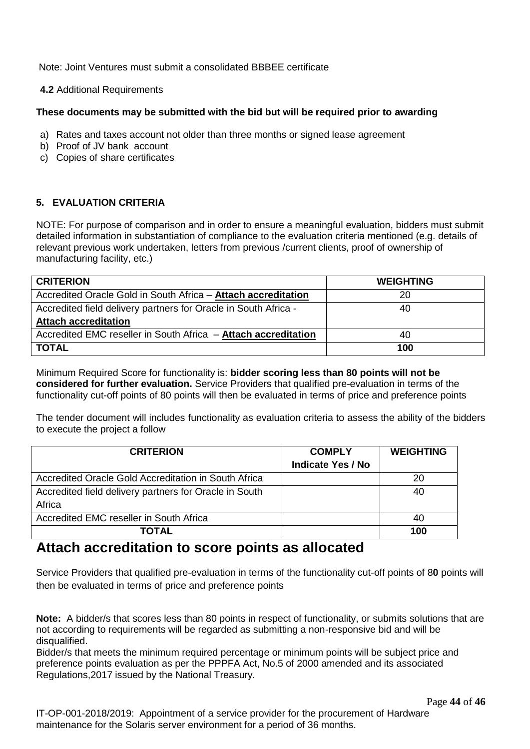Note: Joint Ventures must submit a consolidated BBBEE certificate

**4.2** Additional Requirements

# **These documents may be submitted with the bid but will be required prior to awarding**

- a) Rates and taxes account not older than three months or signed lease agreement
- b) Proof of JV bank account
- c) Copies of share certificates

# **5. EVALUATION CRITERIA**

NOTE: For purpose of comparison and in order to ensure a meaningful evaluation, bidders must submit detailed information in substantiation of compliance to the evaluation criteria mentioned (e.g. details of relevant previous work undertaken, letters from previous /current clients, proof of ownership of manufacturing facility, etc.)

| <b>CRITERION</b>                                                      | <b>WEIGHTING</b> |
|-----------------------------------------------------------------------|------------------|
| Accredited Oracle Gold in South Africa - Attach accreditation         | 20               |
| Accredited field delivery partners for Oracle in South Africa -       | 40               |
| <b>Attach accreditation</b>                                           |                  |
| Accredited EMC reseller in South Africa - <b>Attach accreditation</b> | 40               |
| <b>TOTAL</b>                                                          | 100              |

Minimum Required Score for functionality is: **bidder scoring less than 80 points will not be considered for further evaluation.** Service Providers that qualified pre-evaluation in terms of the functionality cut-off points of 80 points will then be evaluated in terms of price and preference points

The tender document will includes functionality as evaluation criteria to assess the ability of the bidders to execute the project a follow

| <b>CRITERION</b>                                       | <b>COMPLY</b><br><b>Indicate Yes / No</b> | <b>WEIGHTING</b> |
|--------------------------------------------------------|-------------------------------------------|------------------|
| Accredited Oracle Gold Accreditation in South Africa   |                                           | 20               |
| Accredited field delivery partners for Oracle in South |                                           | 40               |
| Africa                                                 |                                           |                  |
| Accredited EMC reseller in South Africa                |                                           | 40               |
| <b>TOTAL</b>                                           |                                           | 100              |

# **Attach accreditation to score points as allocated**

Service Providers that qualified pre-evaluation in terms of the functionality cut-off points of 8**0** points will then be evaluated in terms of price and preference points

**Note:** A bidder/s that scores less than 80 points in respect of functionality, or submits solutions that are not according to requirements will be regarded as submitting a non-responsive bid and will be disqualified.

Bidder/s that meets the minimum required percentage or minimum points will be subject price and preference points evaluation as per the PPPFA Act, No.5 of 2000 amended and its associated Regulations,2017 issued by the National Treasury.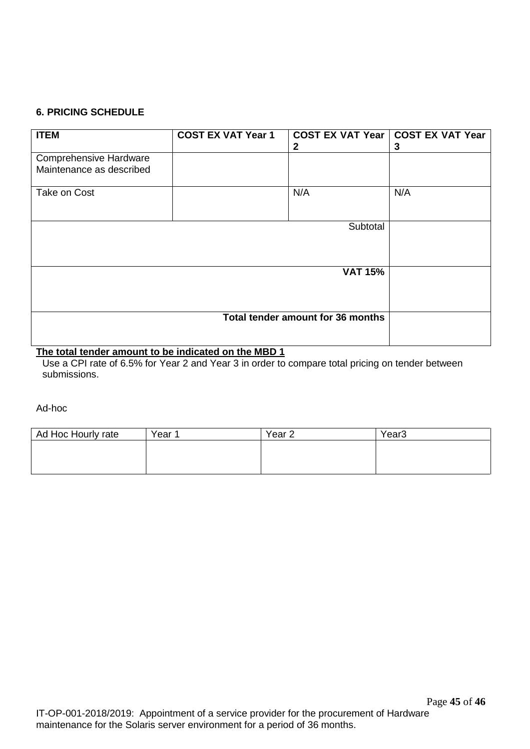# **6. PRICING SCHEDULE**

| <b>ITEM</b>                                               | <b>COST EX VAT Year 1</b> | 2                                 | COST EX VAT Year   COST EX VAT Year<br>3 |
|-----------------------------------------------------------|---------------------------|-----------------------------------|------------------------------------------|
| <b>Comprehensive Hardware</b><br>Maintenance as described |                           |                                   |                                          |
| Take on Cost                                              |                           | N/A                               | N/A                                      |
|                                                           |                           |                                   |                                          |
|                                                           |                           |                                   |                                          |
|                                                           |                           | Total tender amount for 36 months |                                          |

# **The total tender amount to be indicated on the MBD 1**

Use a CPI rate of 6.5% for Year 2 and Year 3 in order to compare total pricing on tender between submissions.

Ad-hoc

| Ad Hoc Hourly rate | Year 1 | Year <sub>2</sub> | Year <sub>3</sub> |
|--------------------|--------|-------------------|-------------------|
|                    |        |                   |                   |
|                    |        |                   |                   |
|                    |        |                   |                   |